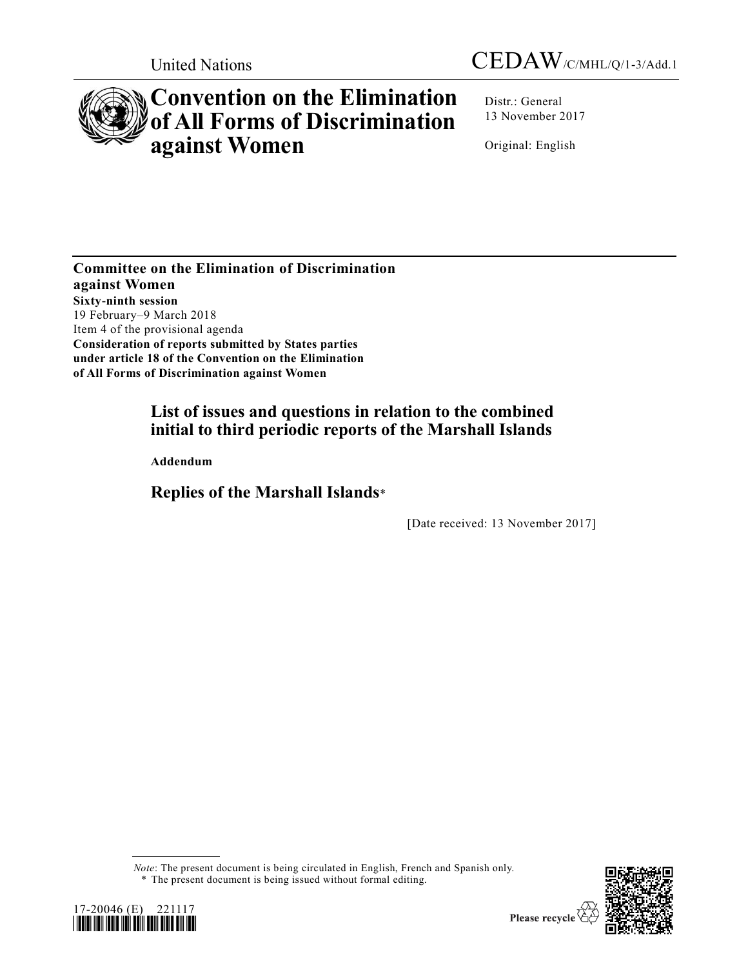



# **Convention on the Elimination of All Forms of Discrimination against Women**

Distr.: General 13 November 2017

Original: English

**Committee on the Elimination of Discrimination against Women Sixty-ninth session** 19 February–9 March 2018 Item 4 of the provisional agenda **Consideration of reports submitted by States parties under article 18 of the Convention on the Elimination of All Forms of Discrimination against Women**

# **List of issues and questions in relation to the combined initial to third periodic reports of the Marshall Islands**

**Addendum**

# **Replies of the Marshall Islands**\*

[Date received: 13 November 2017]

*Note*: The present document is being circulated in English, French and Spanish only. \* The present document is being issued without formal editing.



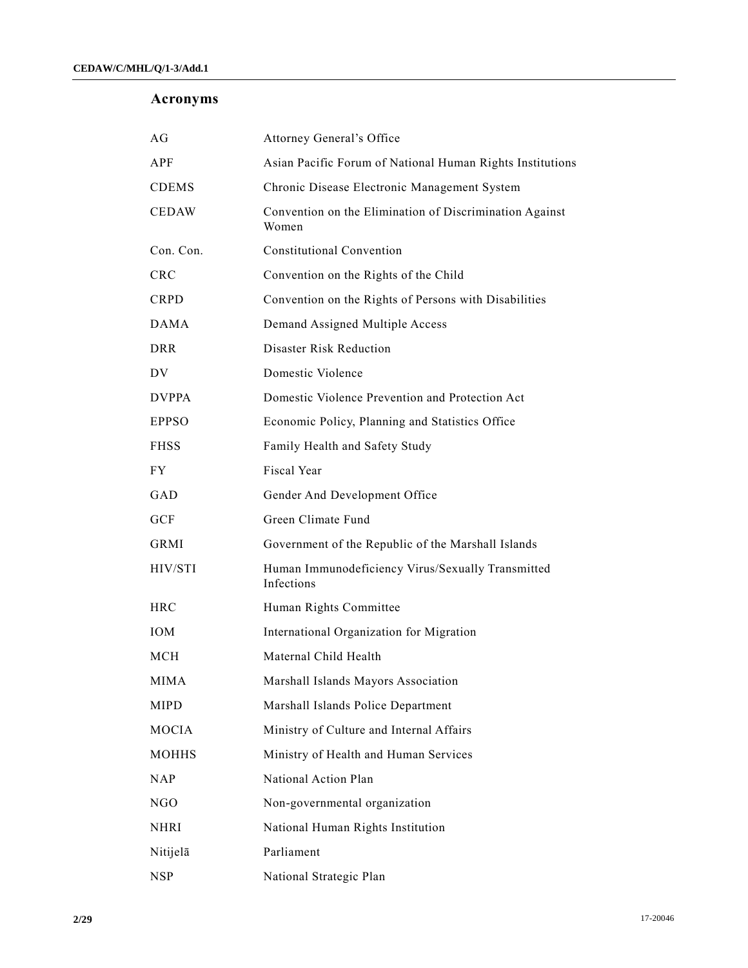# **Acronyms**

| AG           | <b>Attorney General's Office</b>                                 |
|--------------|------------------------------------------------------------------|
| APF          | Asian Pacific Forum of National Human Rights Institutions        |
| <b>CDEMS</b> | Chronic Disease Electronic Management System                     |
| <b>CEDAW</b> | Convention on the Elimination of Discrimination Against<br>Women |
| Con. Con.    | <b>Constitutional Convention</b>                                 |
| <b>CRC</b>   | Convention on the Rights of the Child                            |
| <b>CRPD</b>  | Convention on the Rights of Persons with Disabilities            |
| <b>DAMA</b>  | Demand Assigned Multiple Access                                  |
| <b>DRR</b>   | Disaster Risk Reduction                                          |
| DV.          | Domestic Violence                                                |
| <b>DVPPA</b> | Domestic Violence Prevention and Protection Act                  |
| <b>EPPSO</b> | Economic Policy, Planning and Statistics Office                  |
| <b>FHSS</b>  | Family Health and Safety Study                                   |
| FY.          | Fiscal Year                                                      |
| GAD          | Gender And Development Office                                    |
| <b>GCF</b>   | Green Climate Fund                                               |
| GRMI         | Government of the Republic of the Marshall Islands               |
| HIV/STI      | Human Immunodeficiency Virus/Sexually Transmitted<br>Infections  |
| <b>HRC</b>   | Human Rights Committee                                           |
| <b>IOM</b>   | International Organization for Migration                         |
| MCH          | Maternal Child Health                                            |
| MIMA         | Marshall Islands Mayors Association                              |
| <b>MIPD</b>  | Marshall Islands Police Department                               |
| MOCIA        | Ministry of Culture and Internal Affairs                         |
| <b>MOHHS</b> | Ministry of Health and Human Services                            |
| <b>NAP</b>   | National Action Plan                                             |
| NGO          | Non-governmental organization                                    |
| <b>NHRI</b>  | National Human Rights Institution                                |
| Nitijelā     | Parliament                                                       |
| <b>NSP</b>   | National Strategic Plan                                          |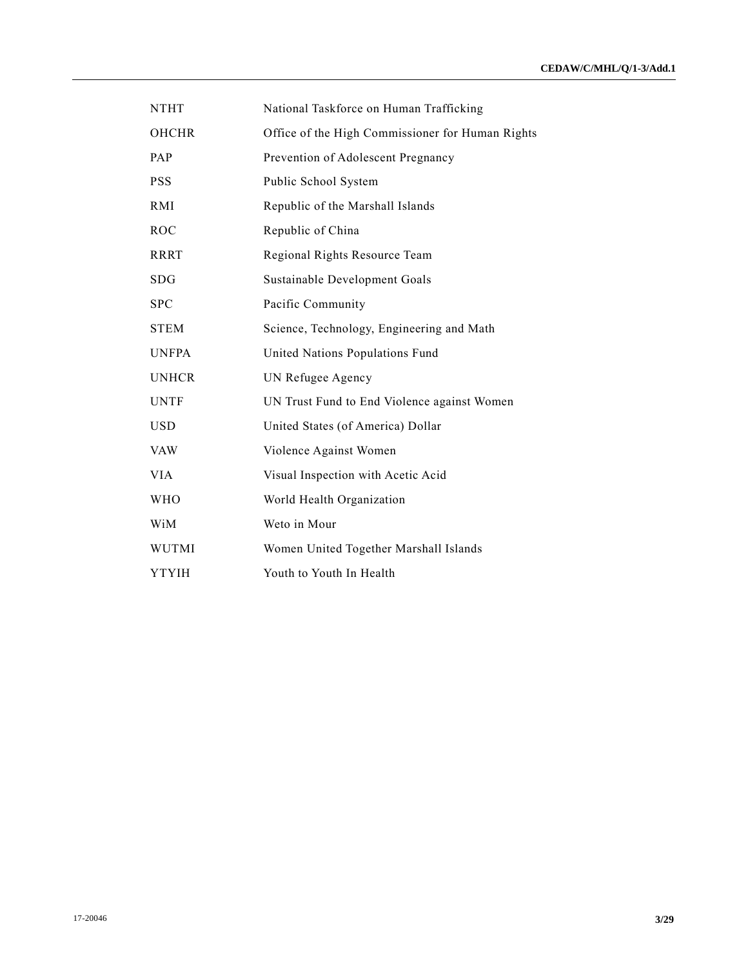| <b>NTHT</b>  | National Taskforce on Human Trafficking          |
|--------------|--------------------------------------------------|
| <b>OHCHR</b> | Office of the High Commissioner for Human Rights |
| PAP          | Prevention of Adolescent Pregnancy               |
| <b>PSS</b>   | Public School System                             |
| RMI          | Republic of the Marshall Islands                 |
| <b>ROC</b>   | Republic of China                                |
| <b>RRRT</b>  | Regional Rights Resource Team                    |
| <b>SDG</b>   | Sustainable Development Goals                    |
| <b>SPC</b>   | Pacific Community                                |
| <b>STEM</b>  | Science, Technology, Engineering and Math        |
| <b>UNFPA</b> | United Nations Populations Fund                  |
| <b>UNHCR</b> | UN Refugee Agency                                |
| <b>UNTF</b>  | UN Trust Fund to End Violence against Women      |
| <b>USD</b>   | United States (of America) Dollar                |
| <b>VAW</b>   | Violence Against Women                           |
| <b>VIA</b>   | Visual Inspection with Acetic Acid               |
| <b>WHO</b>   | World Health Organization                        |
| WiM          | Weto in Mour                                     |
| <b>WUTMI</b> | Women United Together Marshall Islands           |
| <b>YTYIH</b> | Youth to Youth In Health                         |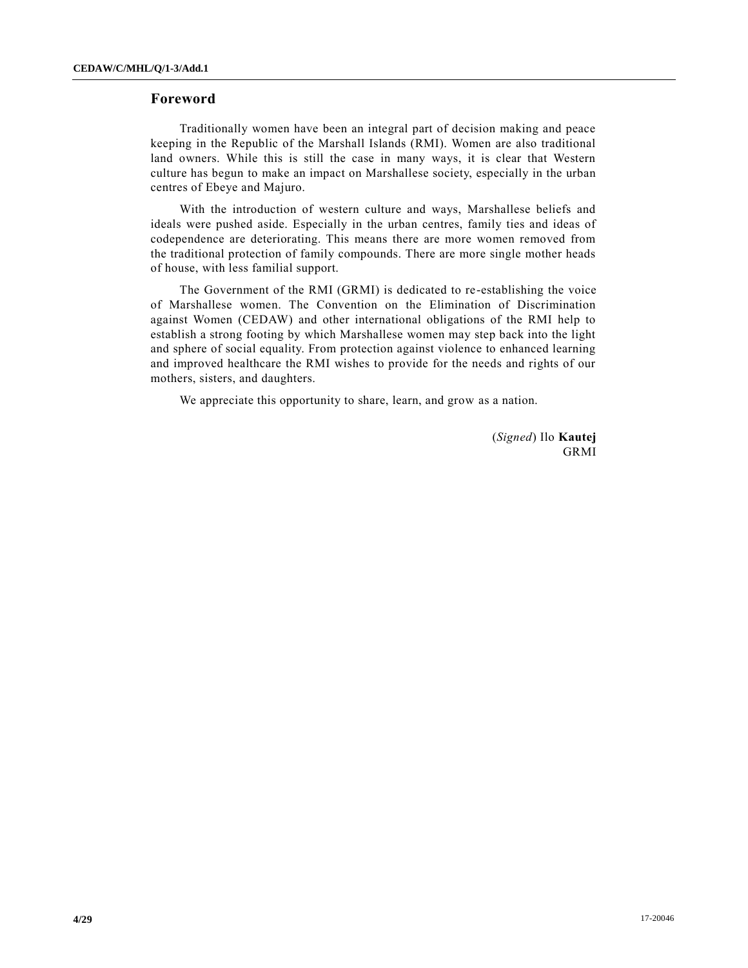# **Foreword**

Traditionally women have been an integral part of decision making and peace keeping in the Republic of the Marshall Islands (RMI). Women are also traditional land owners. While this is still the case in many ways, it is clear that Western culture has begun to make an impact on Marshallese society, especially in the urban centres of Ebeye and Majuro.

With the introduction of western culture and ways, Marshallese beliefs and ideals were pushed aside. Especially in the urban centres, family ties and ideas of codependence are deteriorating. This means there are more women removed from the traditional protection of family compounds. There are more single mother heads of house, with less familial support.

The Government of the RMI (GRMI) is dedicated to re-establishing the voice of Marshallese women. The Convention on the Elimination of Discrimination against Women (CEDAW) and other international obligations of the RMI help to establish a strong footing by which Marshallese women may step back into the light and sphere of social equality. From protection against violence to enhanced learning and improved healthcare the RMI wishes to provide for the needs and rights of our mothers, sisters, and daughters.

We appreciate this opportunity to share, learn, and grow as a nation.

(*Signed*) Ilo **Kautej** GRMI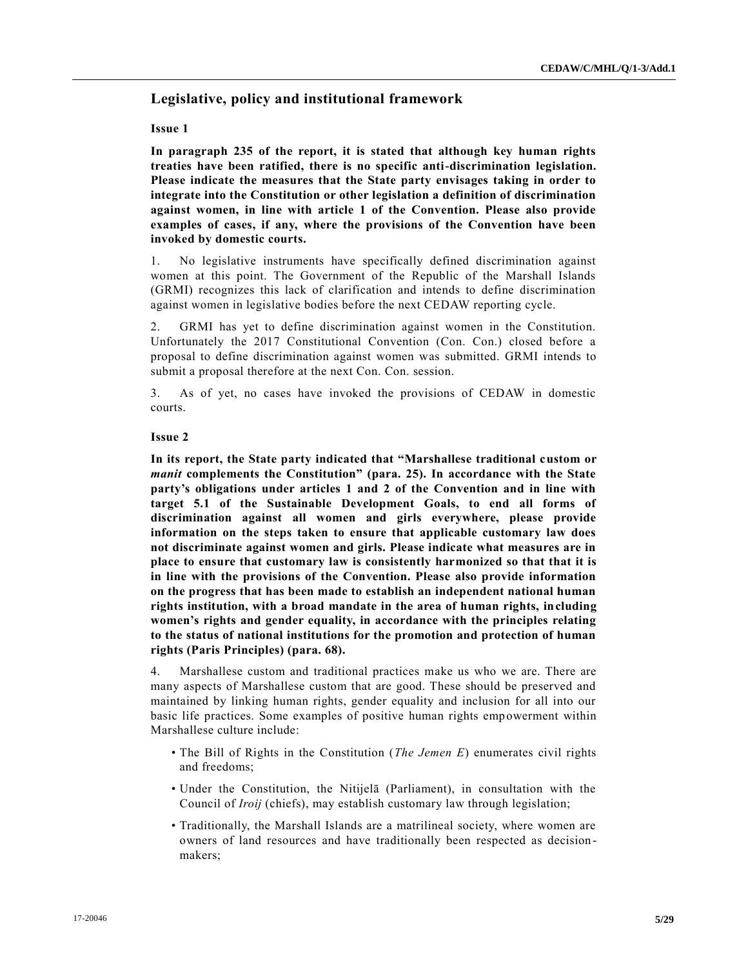# **Legislative, policy and institutional framework**

## **Issue 1**

**In paragraph 235 of the report, it is stated that although key human rights treaties have been ratified, there is no specific anti-discrimination legislation. Please indicate the measures that the State party envisages taking in order to integrate into the Constitution or other legislation a definition of discrimination against women, in line with article 1 of the Convention. Please also provide examples of cases, if any, where the provisions of the Convention have been invoked by domestic courts.** 

1. No legislative instruments have specifically defined discrimination against women at this point. The Government of the Republic of the Marshall Islands (GRMI) recognizes this lack of clarification and intends to define discrimination against women in legislative bodies before the next CEDAW reporting cycle.

2. GRMI has yet to define discrimination against women in the Constitution. Unfortunately the 2017 Constitutional Convention (Con. Con.) closed before a proposal to define discrimination against women was submitted. GRMI intends to submit a proposal therefore at the next Con. Con. session.

3. As of yet, no cases have invoked the provisions of CEDAW in domestic courts.

### **Issue 2**

**In its report, the State party indicated that "Marshallese traditional custom or**  *manit* **complements the Constitution" (para. 25). In accordance with the State party's obligations under articles 1 and 2 of the Convention and in line with target 5.1 of the Sustainable Development Goals, to end all forms of discrimination against all women and girls everywhere, please provide information on the steps taken to ensure that applicable customary law does not discriminate against women and girls. Please indicate what measures are in place to ensure that customary law is consistently harmonized so that that it is in line with the provisions of the Convention. Please also provide information on the progress that has been made to establish an independent national human rights institution, with a broad mandate in the area of human rights, including women's rights and gender equality, in accordance with the principles relating to the status of national institutions for the promotion and protection of human rights (Paris Principles) (para. 68).**

4. Marshallese custom and traditional practices make us who we are. There are many aspects of Marshallese custom that are good. These should be preserved and maintained by linking human rights, gender equality and inclusion for all into our basic life practices. Some examples of positive human rights empowerment within Marshallese culture include:

- The Bill of Rights in the Constitution (*The Jemen E*) enumerates civil rights and freedoms;
- Under the Constitution, the Nitijelā (Parliament), in consultation with the Council of *Iroij* (chiefs), may establish customary law through legislation;
- Traditionally, the Marshall Islands are a matrilineal society, where women are owners of land resources and have traditionally been respected as decision makers;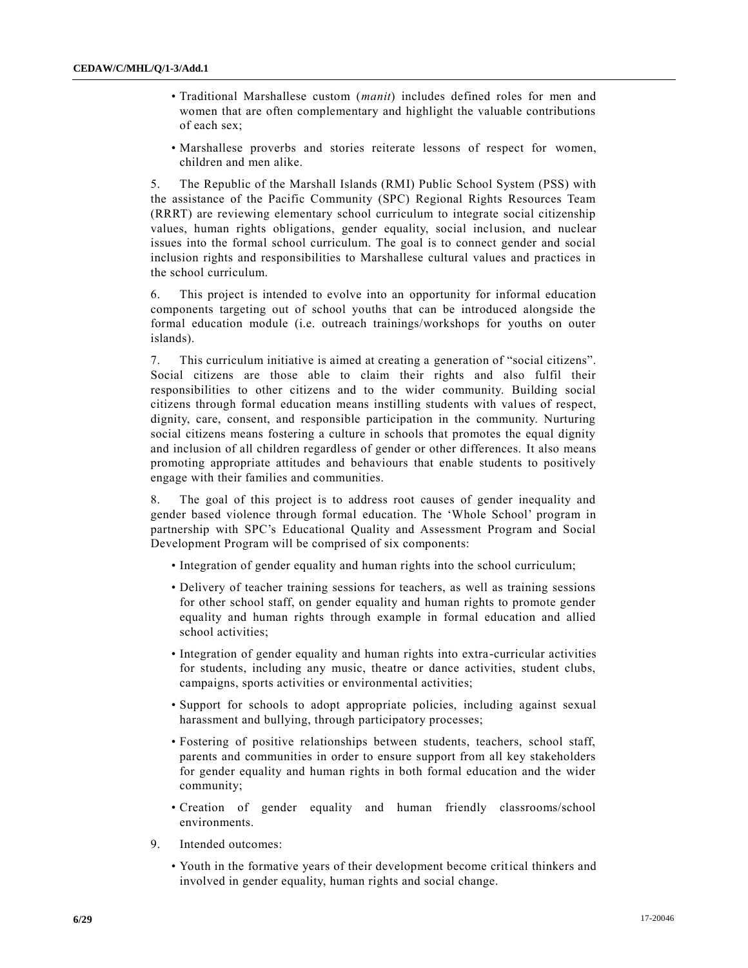- Traditional Marshallese custom (*manit*) includes defined roles for men and women that are often complementary and highlight the valuable contributions of each sex;
- Marshallese proverbs and stories reiterate lessons of respect for women, children and men alike.

5. The Republic of the Marshall Islands (RMI) Public School System (PSS) with the assistance of the Pacific Community (SPC) Regional Rights Resources Team (RRRT) are reviewing elementary school curriculum to integrate social citizenship values, human rights obligations, gender equality, social inclusion, and nuclear issues into the formal school curriculum. The goal is to connect gender and social inclusion rights and responsibilities to Marshallese cultural values and practices in the school curriculum.

6. This project is intended to evolve into an opportunity for informal education components targeting out of school youths that can be introduced alongside the formal education module (i.e. outreach trainings/workshops for youths on outer islands).

7. This curriculum initiative is aimed at creating a generation of "social citizens". Social citizens are those able to claim their rights and also fulfil their responsibilities to other citizens and to the wider community. Building social citizens through formal education means instilling students with values of respect, dignity, care, consent, and responsible participation in the community. Nurturing social citizens means fostering a culture in schools that promotes the equal dignity and inclusion of all children regardless of gender or other differences. It also means promoting appropriate attitudes and behaviours that enable students to positively engage with their families and communities.

8. The goal of this project is to address root causes of gender inequality and gender based violence through formal education. The 'Whole School' program in partnership with SPC's Educational Quality and Assessment Program and Social Development Program will be comprised of six components:

- Integration of gender equality and human rights into the school curriculum;
- Delivery of teacher training sessions for teachers, as well as training sessions for other school staff, on gender equality and human rights to promote gender equality and human rights through example in formal education and allied school activities;
- Integration of gender equality and human rights into extra-curricular activities for students, including any music, theatre or dance activities, student clubs, campaigns, sports activities or environmental activities;
- Support for schools to adopt appropriate policies, including against sexual harassment and bullying, through participatory processes;
- Fostering of positive relationships between students, teachers, school staff, parents and communities in order to ensure support from all key stakeholders for gender equality and human rights in both formal education and the wider community;
- Creation of gender equality and human friendly classrooms/school environments.
- 9. Intended outcomes:
	- Youth in the formative years of their development become critical thinkers and involved in gender equality, human rights and social change.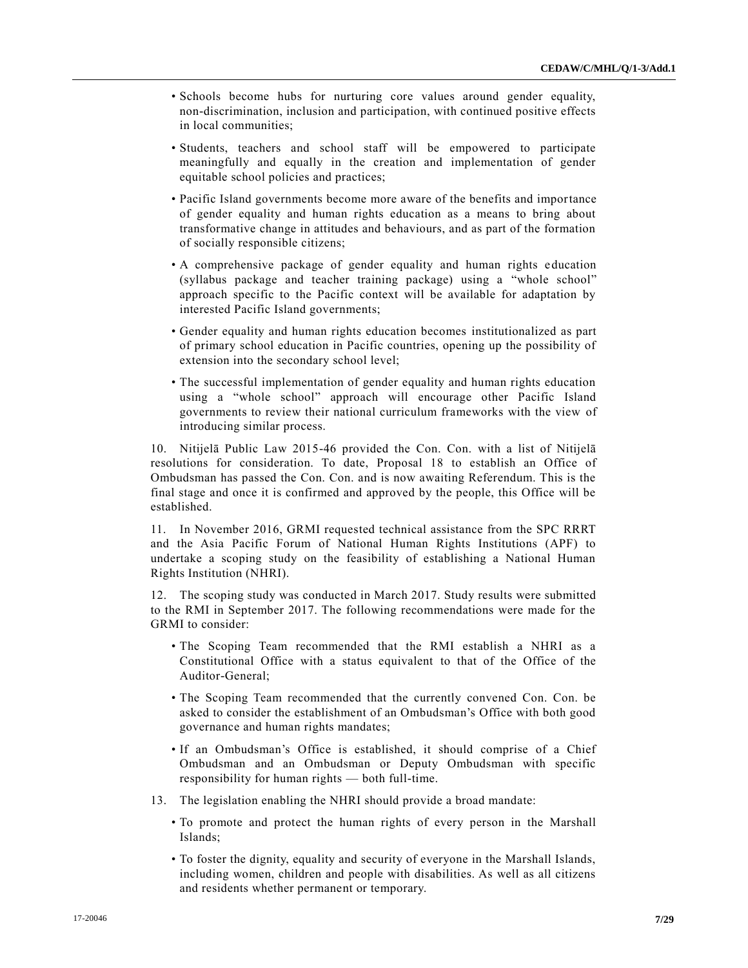- Schools become hubs for nurturing core values around gender equality, non-discrimination, inclusion and participation, with continued positive effects in local communities;
- Students, teachers and school staff will be empowered to participate meaningfully and equally in the creation and implementation of gender equitable school policies and practices;
- Pacific Island governments become more aware of the benefits and importance of gender equality and human rights education as a means to bring about transformative change in attitudes and behaviours, and as part of the formation of socially responsible citizens;
- A comprehensive package of gender equality and human rights education (syllabus package and teacher training package) using a "whole school" approach specific to the Pacific context will be available for adaptation by interested Pacific Island governments;
- Gender equality and human rights education becomes institutionalized as part of primary school education in Pacific countries, opening up the possibility of extension into the secondary school level;
- The successful implementation of gender equality and human rights education using a "whole school" approach will encourage other Pacific Island governments to review their national curriculum frameworks with the view of introducing similar process.

10. Nitijelā Public Law 2015-46 provided the Con. Con. with a list of Nitijelā resolutions for consideration. To date, Proposal 18 to establish an Office of Ombudsman has passed the Con. Con. and is now awaiting Referendum. This is the final stage and once it is confirmed and approved by the people, this Office will be established.

11. In November 2016, GRMI requested technical assistance from the SPC RRRT and the Asia Pacific Forum of National Human Rights Institutions (APF) to undertake a scoping study on the feasibility of establishing a National Human Rights Institution (NHRI).

12. The scoping study was conducted in March 2017. Study results were submitted to the RMI in September 2017. The following recommendations were made for the GRMI to consider:

- The Scoping Team recommended that the RMI establish a NHRI as a Constitutional Office with a status equivalent to that of the Office of the Auditor-General;
- The Scoping Team recommended that the currently convened Con. Con. be asked to consider the establishment of an Ombudsman's Office with both good governance and human rights mandates;
- If an Ombudsman's Office is established, it should comprise of a Chief Ombudsman and an Ombudsman or Deputy Ombudsman with specific responsibility for human rights — both full-time.
- 13. The legislation enabling the NHRI should provide a broad mandate:
	- To promote and protect the human rights of every person in the Marshall Islands;
	- To foster the dignity, equality and security of everyone in the Marshall Islands, including women, children and people with disabilities. As well as all citizens and residents whether permanent or temporary.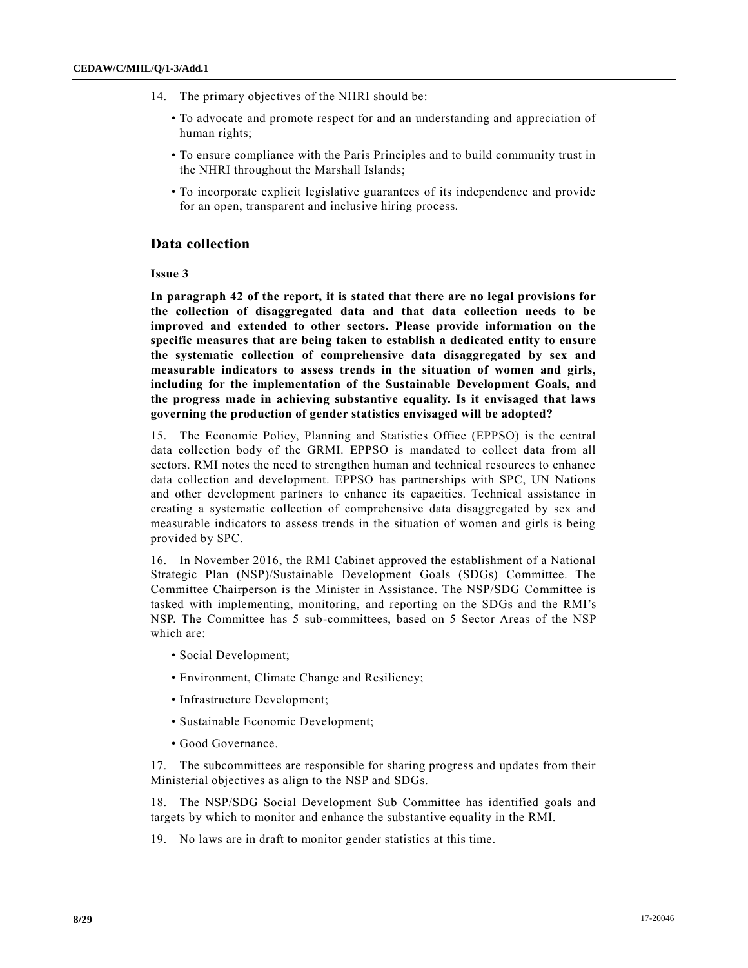- 14. The primary objectives of the NHRI should be:
	- To advocate and promote respect for and an understanding and appreciation of human rights;
	- To ensure compliance with the Paris Principles and to build community trust in the NHRI throughout the Marshall Islands;
	- To incorporate explicit legislative guarantees of its independence and provide for an open, transparent and inclusive hiring process.

# **Data collection**

**Issue 3** 

**In paragraph 42 of the report, it is stated that there are no legal provisions for the collection of disaggregated data and that data collection needs to be improved and extended to other sectors. Please provide information on the specific measures that are being taken to establish a dedicated entity to ensure the systematic collection of comprehensive data disaggregated by sex and measurable indicators to assess trends in the situation of women and girls, including for the implementation of the Sustainable Development Goals, and the progress made in achieving substantive equality. Is it envisaged that laws governing the production of gender statistics envisaged will be adopted?** 

15. The Economic Policy, Planning and Statistics Office (EPPSO) is the central data collection body of the GRMI. EPPSO is mandated to collect data from all sectors. RMI notes the need to strengthen human and technical resources to enhance data collection and development. EPPSO has partnerships with SPC, UN Nations and other development partners to enhance its capacities. Technical assistance in creating a systematic collection of comprehensive data disaggregated by sex and measurable indicators to assess trends in the situation of women and girls is being provided by SPC.

16. In November 2016, the RMI Cabinet approved the establishment of a National Strategic Plan (NSP)/Sustainable Development Goals (SDGs) Committee. The Committee Chairperson is the Minister in Assistance. The NSP/SDG Committee is tasked with implementing, monitoring, and reporting on the SDGs and the RMI's NSP. The Committee has 5 sub-committees, based on 5 Sector Areas of the NSP which are:

- Social Development;
- Environment, Climate Change and Resiliency;
- Infrastructure Development;
- Sustainable Economic Development;
- Good Governance.

17. The subcommittees are responsible for sharing progress and updates from their Ministerial objectives as align to the NSP and SDGs.

18. The NSP/SDG Social Development Sub Committee has identified goals and targets by which to monitor and enhance the substantive equality in the RMI.

19. No laws are in draft to monitor gender statistics at this time.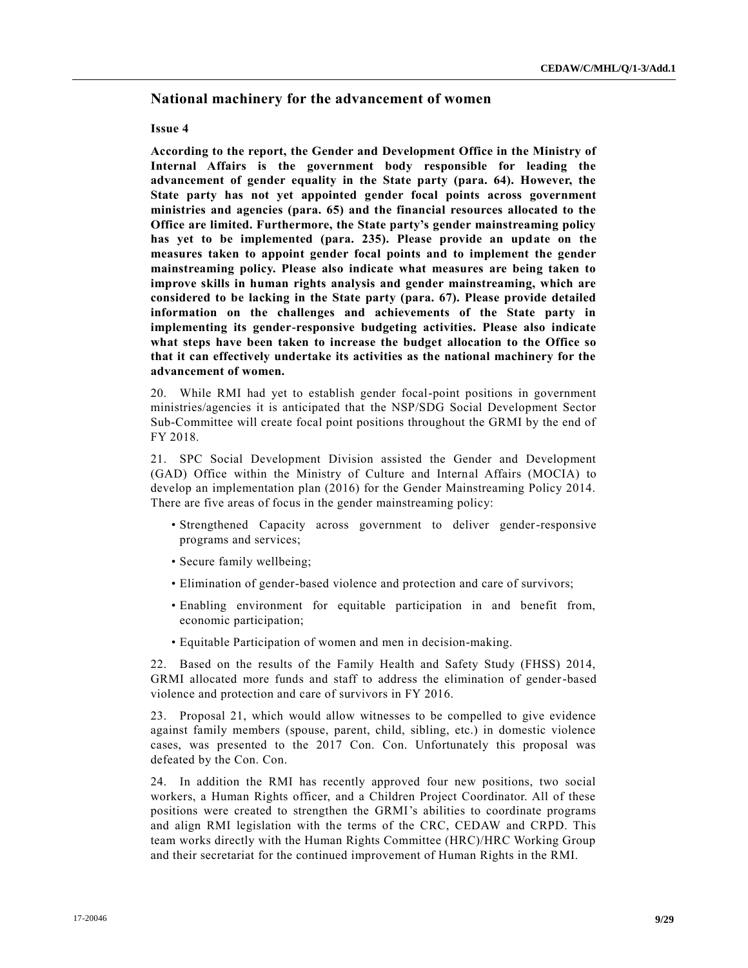# **National machinery for the advancement of women**

#### **Issue 4**

**According to the report, the Gender and Development Office in the Ministry of Internal Affairs is the government body responsible for leading the advancement of gender equality in the State party (para. 64). However, the State party has not yet appointed gender focal points across government ministries and agencies (para. 65) and the financial resources allocated to the Office are limited. Furthermore, the State party's gender mainstreaming policy has yet to be implemented (para. 235). Please provide an update on the measures taken to appoint gender focal points and to implement the gender mainstreaming policy. Please also indicate what measures are being taken to improve skills in human rights analysis and gender mainstreaming, which are considered to be lacking in the State party (para. 67). Please provide detailed information on the challenges and achievements of the State party in implementing its gender-responsive budgeting activities. Please also indicate what steps have been taken to increase the budget allocation to the Office so that it can effectively undertake its activities as the national machinery for the advancement of women.** 

20. While RMI had yet to establish gender focal-point positions in government ministries/agencies it is anticipated that the NSP/SDG Social Development Sector Sub-Committee will create focal point positions throughout the GRMI by the end of FY 2018.

21. SPC Social Development Division assisted the Gender and Development (GAD) Office within the Ministry of Culture and Internal Affairs (MOCIA) to develop an implementation plan (2016) for the Gender Mainstreaming Policy 2014. There are five areas of focus in the gender mainstreaming policy:

- Strengthened Capacity across government to deliver gender-responsive programs and services;
- Secure family wellbeing;
- Elimination of gender-based violence and protection and care of survivors;
- Enabling environment for equitable participation in and benefit from, economic participation;
- Equitable Participation of women and men in decision-making.

22. Based on the results of the Family Health and Safety Study (FHSS) 2014, GRMI allocated more funds and staff to address the elimination of gender-based violence and protection and care of survivors in FY 2016.

23. Proposal 21, which would allow witnesses to be compelled to give evidence against family members (spouse, parent, child, sibling, etc.) in domestic violence cases, was presented to the 2017 Con. Con. Unfortunately this proposal was defeated by the Con. Con.

24. In addition the RMI has recently approved four new positions, two social workers, a Human Rights officer, and a Children Project Coordinator. All of these positions were created to strengthen the GRMI's abilities to coordinate programs and align RMI legislation with the terms of the CRC, CEDAW and CRPD. This team works directly with the Human Rights Committee (HRC)/HRC Working Group and their secretariat for the continued improvement of Human Rights in the RMI.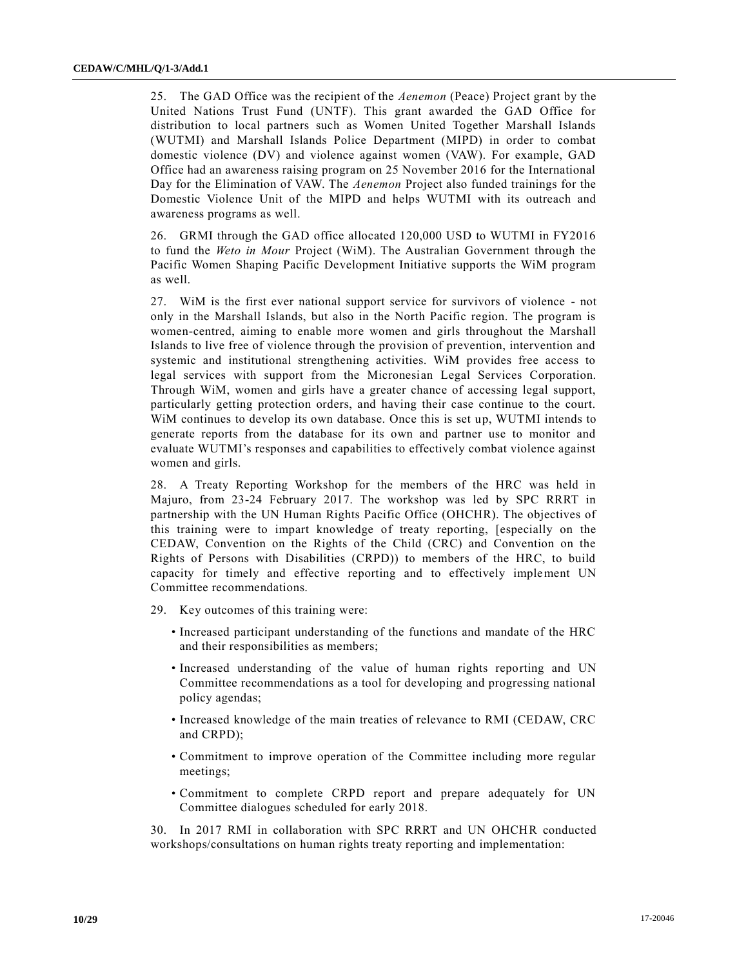25. The GAD Office was the recipient of the *Aenemon* (Peace) Project grant by the United Nations Trust Fund (UNTF). This grant awarded the GAD Office for distribution to local partners such as Women United Together Marshall Islands (WUTMI) and Marshall Islands Police Department (MIPD) in order to combat domestic violence (DV) and violence against women (VAW). For example, GAD Office had an awareness raising program on 25 November 2016 for the International Day for the Elimination of VAW. The *Aenemon* Project also funded trainings for the Domestic Violence Unit of the MIPD and helps WUTMI with its outreach and awareness programs as well.

26. GRMI through the GAD office allocated 120,000 USD to WUTMI in FY2016 to fund the *Weto in Mour* Project (WiM). The Australian Government through the Pacific Women Shaping Pacific Development Initiative supports the WiM program as well.

27. WiM is the first ever national support service for survivors of violence - not only in the Marshall Islands, but also in the North Pacific region. The program is women-centred, aiming to enable more women and girls throughout the Marshall Islands to live free of violence through the provision of prevention, intervention and systemic and institutional strengthening activities. WiM provides free access to legal services with support from the Micronesian Legal Services Corporation. Through WiM, women and girls have a greater chance of accessing legal support, particularly getting protection orders, and having their case continue to the court. WiM continues to develop its own database. Once this is set up, WUTMI intends to generate reports from the database for its own and partner use to monitor and evaluate WUTMI's responses and capabilities to effectively combat violence against women and girls.

28. A Treaty Reporting Workshop for the members of the HRC was held in Majuro, from 23-24 February 2017. The workshop was led by SPC RRRT in partnership with the UN Human Rights Pacific Office (OHCHR). The objectives of this training were to impart knowledge of treaty reporting, [especially on the CEDAW, Convention on the Rights of the Child (CRC) and Convention on the Rights of Persons with Disabilities (CRPD)) to members of the HRC, to build capacity for timely and effective reporting and to effectively implement UN Committee recommendations.

- 29. Key outcomes of this training were:
	- Increased participant understanding of the functions and mandate of the HRC and their responsibilities as members;
	- Increased understanding of the value of human rights reporting and UN Committee recommendations as a tool for developing and progressing national policy agendas;
	- Increased knowledge of the main treaties of relevance to RMI (CEDAW, CRC and CRPD);
	- Commitment to improve operation of the Committee including more regular meetings;
	- Commitment to complete CRPD report and prepare adequately for UN Committee dialogues scheduled for early 2018.

30. In 2017 RMI in collaboration with SPC RRRT and UN OHCHR conducted workshops/consultations on human rights treaty reporting and implementation: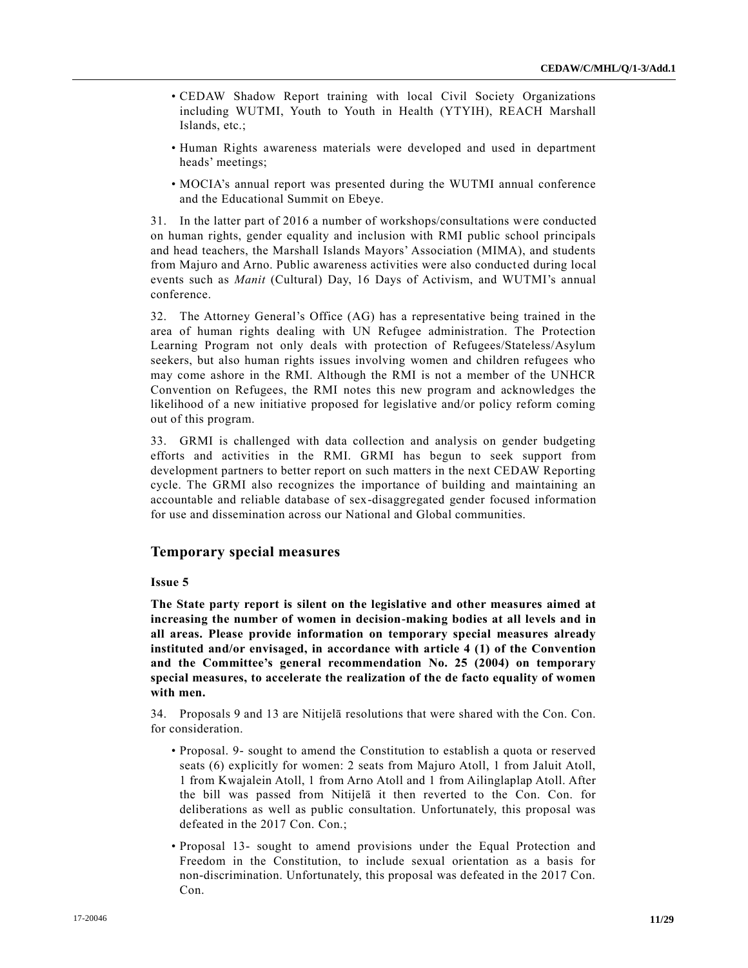- CEDAW Shadow Report training with local Civil Society Organizations including WUTMI, Youth to Youth in Health (YTYIH), REACH Marshall Islands, etc.;
- Human Rights awareness materials were developed and used in department heads' meetings;
- MOCIA's annual report was presented during the WUTMI annual conference and the Educational Summit on Ebeye.

31. In the latter part of 2016 a number of workshops/consultations were conducted on human rights, gender equality and inclusion with RMI public school principals and head teachers, the Marshall Islands Mayors' Association (MIMA), and students from Majuro and Arno. Public awareness activities were also conducted during local events such as *Manit* (Cultural) Day, 16 Days of Activism, and WUTMI's annual conference.

32. The Attorney General's Office (AG) has a representative being trained in the area of human rights dealing with UN Refugee administration. The Protection Learning Program not only deals with protection of Refugees/Stateless/Asylum seekers, but also human rights issues involving women and children refugees who may come ashore in the RMI. Although the RMI is not a member of the UNHCR Convention on Refugees, the RMI notes this new program and acknowledges the likelihood of a new initiative proposed for legislative and/or policy reform coming out of this program.

33. GRMI is challenged with data collection and analysis on gender budgeting efforts and activities in the RMI. GRMI has begun to seek support from development partners to better report on such matters in the next CEDAW Reporting cycle. The GRMI also recognizes the importance of building and maintaining an accountable and reliable database of sex-disaggregated gender focused information for use and dissemination across our National and Global communities.

# **Temporary special measures**

#### **Issue 5**

**The State party report is silent on the legislative and other measures aimed at increasing the number of women in decision-making bodies at all levels and in all areas. Please provide information on temporary special measures already instituted and/or envisaged, in accordance with article 4 (1) of the Convention and the Committee's general recommendation No. 25 (2004) on temporary special measures, to accelerate the realization of the de facto equality of women with men.** 

34. Proposals 9 and 13 are Nitijelā resolutions that were shared with the Con. Con. for consideration.

- Proposal. 9- sought to amend the Constitution to establish a quota or reserved seats (6) explicitly for women: 2 seats from Majuro Atoll, 1 from Jaluit Atoll, 1 from Kwajalein Atoll, 1 from Arno Atoll and 1 from Ailinglaplap Atoll. After the bill was passed from Nitijelā it then reverted to the Con. Con. for deliberations as well as public consultation. Unfortunately, this proposal was defeated in the 2017 Con. Con.;
- Proposal 13- sought to amend provisions under the Equal Protection and Freedom in the Constitution, to include sexual orientation as a basis for non-discrimination. Unfortunately, this proposal was defeated in the 2017 Con. Con.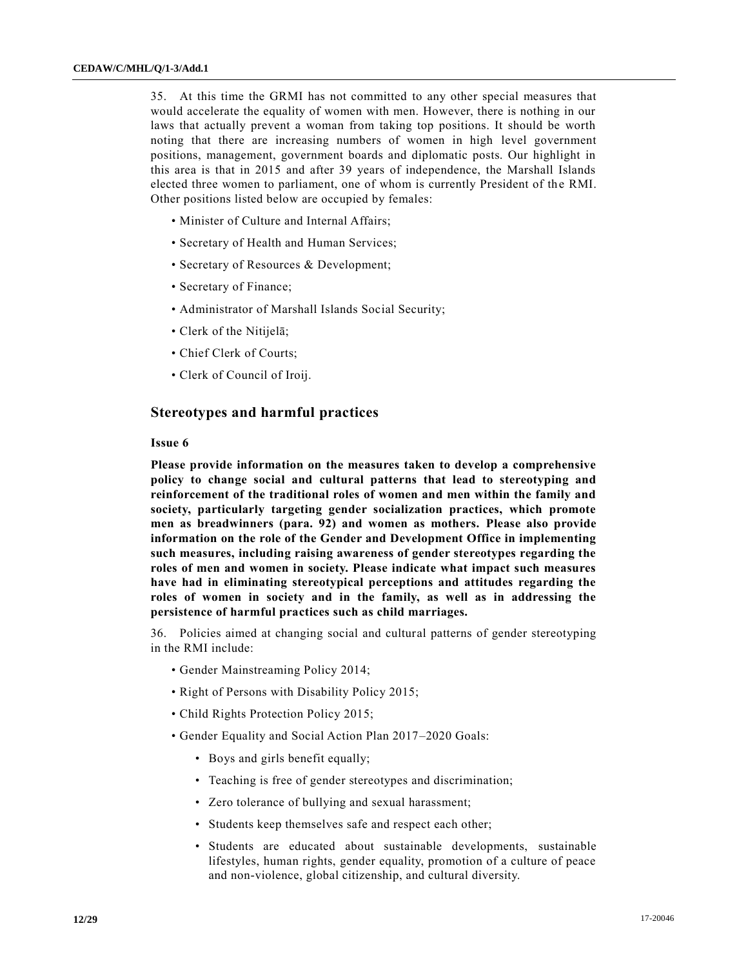35. At this time the GRMI has not committed to any other special measures that would accelerate the equality of women with men. However, there is nothing in our laws that actually prevent a woman from taking top positions. It should be worth noting that there are increasing numbers of women in high level government positions, management, government boards and diplomatic posts. Our highlight in this area is that in 2015 and after 39 years of independence, the Marshall Islands elected three women to parliament, one of whom is currently President of the RMI. Other positions listed below are occupied by females:

- Minister of Culture and Internal Affairs;
- Secretary of Health and Human Services;
- Secretary of Resources & Development;
- Secretary of Finance;
- Administrator of Marshall Islands Social Security;
- Clerk of the Nitijelā;
- Chief Clerk of Courts;
- Clerk of Council of Iroij.

# **Stereotypes and harmful practices**

### **Issue 6**

**Please provide information on the measures taken to develop a comprehensive policy to change social and cultural patterns that lead to stereotyping and reinforcement of the traditional roles of women and men within the family and society, particularly targeting gender socialization practices, which promote men as breadwinners (para. 92) and women as mothers. Please also provide information on the role of the Gender and Development Office in implementing such measures, including raising awareness of gender stereotypes regarding the roles of men and women in society. Please indicate what impact such measures have had in eliminating stereotypical perceptions and attitudes regarding the roles of women in society and in the family, as well as in addressing the persistence of harmful practices such as child marriages.**

36. Policies aimed at changing social and cultural patterns of gender stereotyping in the RMI include:

- Gender Mainstreaming Policy 2014;
- Right of Persons with Disability Policy 2015;
- Child Rights Protection Policy 2015;
- Gender Equality and Social Action Plan 2017–2020 Goals:
	- Boys and girls benefit equally;
	- Teaching is free of gender stereotypes and discrimination;
	- Zero tolerance of bullying and sexual harassment;
	- Students keep themselves safe and respect each other;
	- Students are educated about sustainable developments, sustainable lifestyles, human rights, gender equality, promotion of a culture of peace and non-violence, global citizenship, and cultural diversity.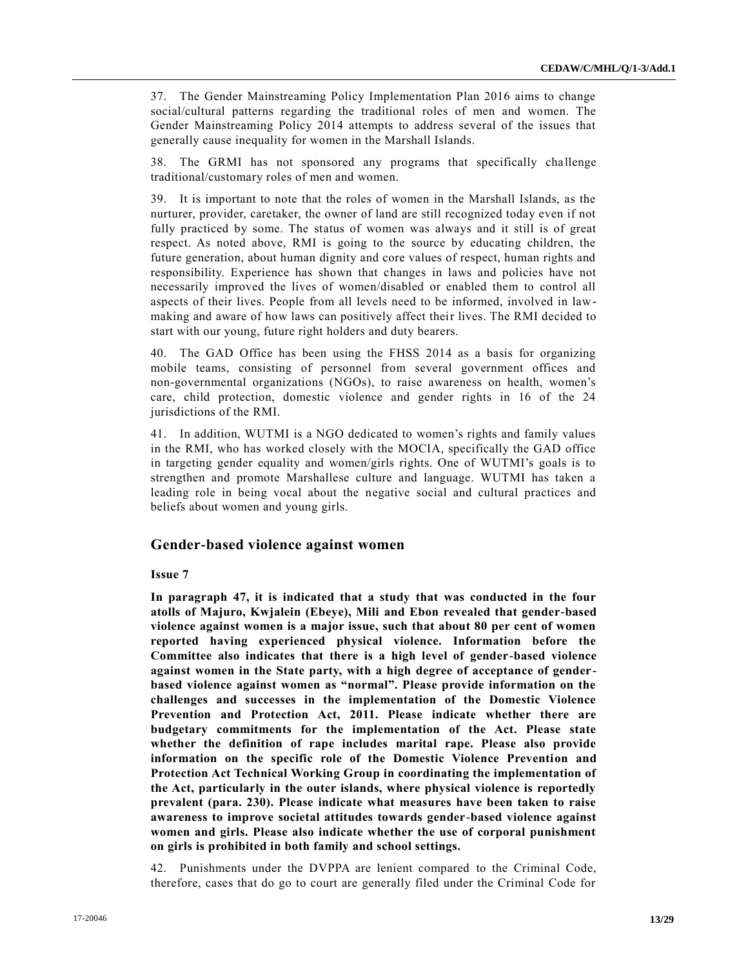37. The Gender Mainstreaming Policy Implementation Plan 2016 aims to change social/cultural patterns regarding the traditional roles of men and women. The Gender Mainstreaming Policy 2014 attempts to address several of the issues that generally cause inequality for women in the Marshall Islands.

38. The GRMI has not sponsored any programs that specifically challenge traditional/customary roles of men and women.

39. It is important to note that the roles of women in the Marshall Islands, as the nurturer, provider, caretaker, the owner of land are still recognized today even if not fully practiced by some. The status of women was always and it still is of great respect. As noted above, RMI is going to the source by educating children, the future generation, about human dignity and core values of respect, human rights and responsibility. Experience has shown that changes in laws and policies have not necessarily improved the lives of women/disabled or enabled them to control all aspects of their lives. People from all levels need to be informed, involved in lawmaking and aware of how laws can positively affect their lives. The RMI decided to start with our young, future right holders and duty bearers.

40. The GAD Office has been using the FHSS 2014 as a basis for organizing mobile teams, consisting of personnel from several government offices and non-governmental organizations (NGOs), to raise awareness on health, women's care, child protection, domestic violence and gender rights in 16 of the 24 jurisdictions of the RMI.

41. In addition, WUTMI is a NGO dedicated to women's rights and family values in the RMI, who has worked closely with the MOCIA, specifically the GAD office in targeting gender equality and women/girls rights. One of WUTMI's goals is to strengthen and promote Marshallese culture and language. WUTMI has taken a leading role in being vocal about the negative social and cultural practices and beliefs about women and young girls.

# **Gender-based violence against women**

#### **Issue 7**

**In paragraph 47, it is indicated that a study that was conducted in the four atolls of Majuro, Kwjalein (Ebeye), Mili and Ebon revealed that gender-based violence against women is a major issue, such that about 80 per cent of women reported having experienced physical violence. Information before the Committee also indicates that there is a high level of gender-based violence against women in the State party, with a high degree of acceptance of genderbased violence against women as "normal". Please provide information on the challenges and successes in the implementation of the Domestic Violence Prevention and Protection Act, 2011. Please indicate whether there are budgetary commitments for the implementation of the Act. Please state whether the definition of rape includes marital rape. Please also provide information on the specific role of the Domestic Violence Prevention and Protection Act Technical Working Group in coordinating the implementation of the Act, particularly in the outer islands, where physical violence is reportedly prevalent (para. 230). Please indicate what measures have been taken to raise awareness to improve societal attitudes towards gender-based violence against women and girls. Please also indicate whether the use of corporal punishment on girls is prohibited in both family and school settings.** 

42. Punishments under the DVPPA are lenient compared to the Criminal Code, therefore, cases that do go to court are generally filed under the Criminal Code for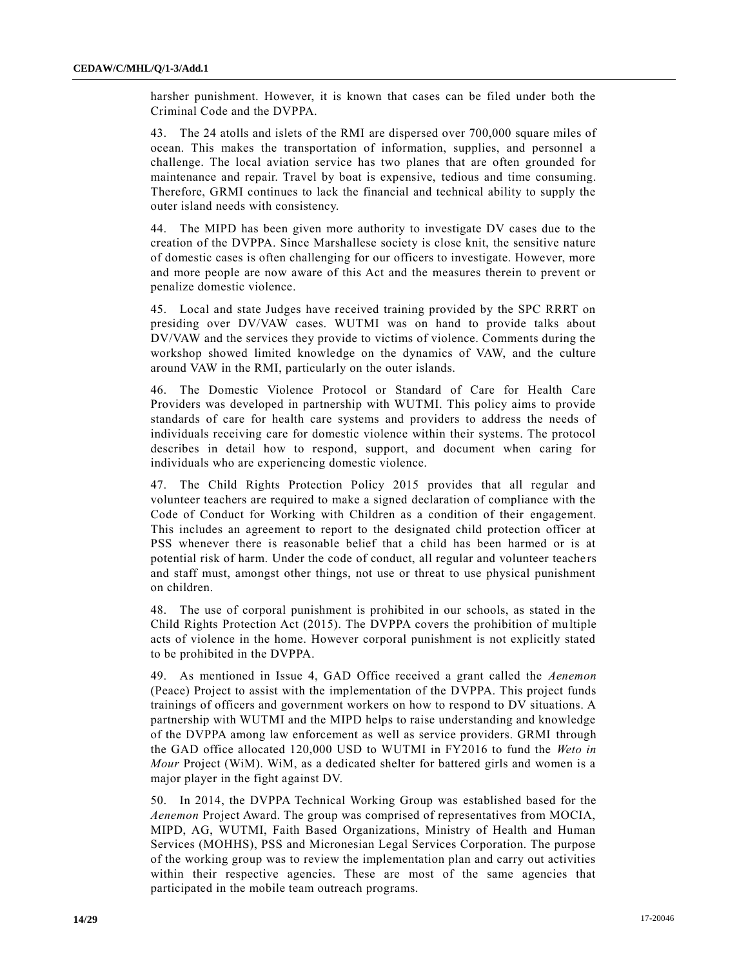harsher punishment. However, it is known that cases can be filed under both the Criminal Code and the DVPPA.

43. The 24 atolls and islets of the RMI are dispersed over 700,000 square miles of ocean. This makes the transportation of information, supplies, and personnel a challenge. The local aviation service has two planes that are often grounded for maintenance and repair. Travel by boat is expensive, tedious and time consuming. Therefore, GRMI continues to lack the financial and technical ability to supply the outer island needs with consistency.

44. The MIPD has been given more authority to investigate DV cases due to the creation of the DVPPA. Since Marshallese society is close knit, the sensitive nature of domestic cases is often challenging for our officers to investigate. However, more and more people are now aware of this Act and the measures therein to prevent or penalize domestic violence.

45. Local and state Judges have received training provided by the SPC RRRT on presiding over DV/VAW cases. WUTMI was on hand to provide talks about DV/VAW and the services they provide to victims of violence. Comments during the workshop showed limited knowledge on the dynamics of VAW, and the culture around VAW in the RMI, particularly on the outer islands.

46. The Domestic Violence Protocol or Standard of Care for Health Care Providers was developed in partnership with WUTMI. This policy aims to provide standards of care for health care systems and providers to address the needs of individuals receiving care for domestic violence within their systems. The protocol describes in detail how to respond, support, and document when caring for individuals who are experiencing domestic violence.

47. The Child Rights Protection Policy 2015 provides that all regular and volunteer teachers are required to make a signed declaration of compliance with the Code of Conduct for Working with Children as a condition of their engagement. This includes an agreement to report to the designated child protection officer at PSS whenever there is reasonable belief that a child has been harmed or is at potential risk of harm. Under the code of conduct, all regular and volunteer teachers and staff must, amongst other things, not use or threat to use physical punishment on children.

48. The use of corporal punishment is prohibited in our schools, as stated in the Child Rights Protection Act (2015). The DVPPA covers the prohibition of multiple acts of violence in the home. However corporal punishment is not explicitly stated to be prohibited in the DVPPA.

49. As mentioned in Issue 4, GAD Office received a grant called the *Aenemon* (Peace) Project to assist with the implementation of the DVPPA. This project funds trainings of officers and government workers on how to respond to DV situations. A partnership with WUTMI and the MIPD helps to raise understanding and knowledge of the DVPPA among law enforcement as well as service providers. GRMI through the GAD office allocated 120,000 USD to WUTMI in FY2016 to fund the *Weto in Mour* Project (WiM). WiM, as a dedicated shelter for battered girls and women is a major player in the fight against DV.

50. In 2014, the DVPPA Technical Working Group was established based for the *Aenemon* Project Award. The group was comprised of representatives from MOCIA, MIPD, AG, WUTMI, Faith Based Organizations, Ministry of Health and Human Services (MOHHS), PSS and Micronesian Legal Services Corporation. The purpose of the working group was to review the implementation plan and carry out activities within their respective agencies. These are most of the same agencies that participated in the mobile team outreach programs.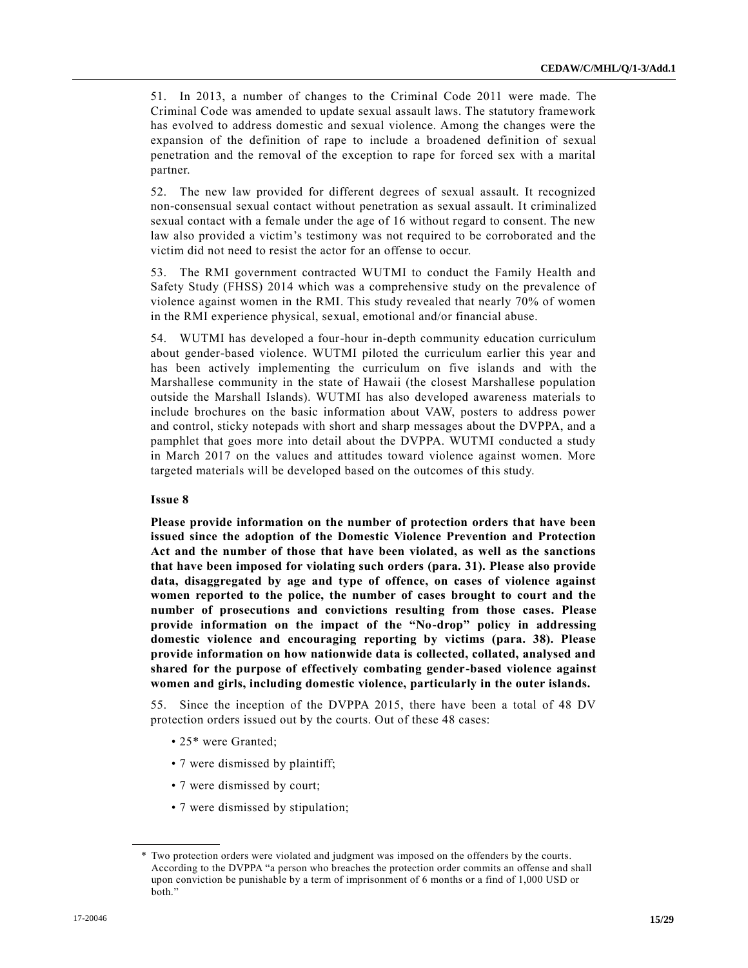51. In 2013, a number of changes to the Criminal Code 2011 were made. The Criminal Code was amended to update sexual assault laws. The statutory framework has evolved to address domestic and sexual violence. Among the changes were the expansion of the definition of rape to include a broadened definition of sexual penetration and the removal of the exception to rape for forced sex with a marital partner.

52. The new law provided for different degrees of sexual assault. It recognized non-consensual sexual contact without penetration as sexual assault. It criminalized sexual contact with a female under the age of 16 without regard to consent. The new law also provided a victim's testimony was not required to be corroborated and the victim did not need to resist the actor for an offense to occur.

53. The RMI government contracted WUTMI to conduct the Family Health and Safety Study (FHSS) 2014 which was a comprehensive study on the prevalence of violence against women in the RMI. This study revealed that nearly 70% of women in the RMI experience physical, sexual, emotional and/or financial abuse.

54. WUTMI has developed a four-hour in-depth community education curriculum about gender-based violence. WUTMI piloted the curriculum earlier this year and has been actively implementing the curriculum on five islands and with the Marshallese community in the state of Hawaii (the closest Marshallese population outside the Marshall Islands). WUTMI has also developed awareness materials to include brochures on the basic information about VAW, posters to address power and control, sticky notepads with short and sharp messages about the DVPPA, and a pamphlet that goes more into detail about the DVPPA. WUTMI conducted a study in March 2017 on the values and attitudes toward violence against women. More targeted materials will be developed based on the outcomes of this study.

#### **Issue 8**

**Please provide information on the number of protection orders that have been issued since the adoption of the Domestic Violence Prevention and Protection Act and the number of those that have been violated, as well as the sanctions that have been imposed for violating such orders (para. 31). Please also provide data, disaggregated by age and type of offence, on cases of violence against women reported to the police, the number of cases brought to court and the number of prosecutions and convictions resulting from those cases. Please provide information on the impact of the "No-drop" policy in addressing domestic violence and encouraging reporting by victims (para. 38). Please provide information on how nationwide data is collected, collated, analysed and shared for the purpose of effectively combating gender-based violence against women and girls, including domestic violence, particularly in the outer islands.** 

55. Since the inception of the DVPPA 2015, there have been a total of 48 DV protection orders issued out by the courts. Out of these 48 cases:

- 25<sup>\*</sup> were Granted;
- 7 were dismissed by plaintiff;
- 7 were dismissed by court;
- 7 were dismissed by stipulation;

<sup>\*</sup> Two protection orders were violated and judgment was imposed on the offenders by the courts. According to the DVPPA "a person who breaches the protection order commits an offense and shall upon conviction be punishable by a term of imprisonment of 6 months or a find of 1,000 USD or both."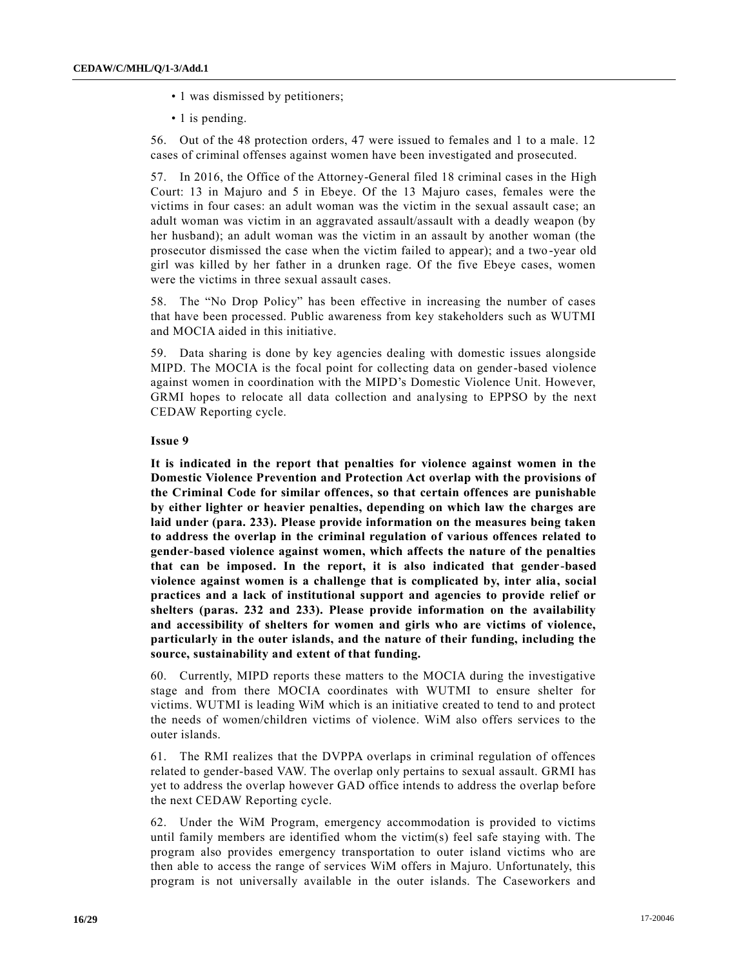- 1 was dismissed by petitioners;
- 1 is pending.

56. Out of the 48 protection orders, 47 were issued to females and 1 to a male. 12 cases of criminal offenses against women have been investigated and prosecuted.

57. In 2016, the Office of the Attorney-General filed 18 criminal cases in the High Court: 13 in Majuro and 5 in Ebeye. Of the 13 Majuro cases, females were the victims in four cases: an adult woman was the victim in the sexual assault case; an adult woman was victim in an aggravated assault/assault with a deadly weapon (by her husband); an adult woman was the victim in an assault by another woman (the prosecutor dismissed the case when the victim failed to appear); and a two -year old girl was killed by her father in a drunken rage. Of the five Ebeye cases, women were the victims in three sexual assault cases.

58. The "No Drop Policy" has been effective in increasing the number of cases that have been processed. Public awareness from key stakeholders such as WUTMI and MOCIA aided in this initiative.

59. Data sharing is done by key agencies dealing with domestic issues alongside MIPD. The MOCIA is the focal point for collecting data on gender-based violence against women in coordination with the MIPD's Domestic Violence Unit. However, GRMI hopes to relocate all data collection and analysing to EPPSO by the next CEDAW Reporting cycle.

#### **Issue 9**

**It is indicated in the report that penalties for violence against women in the Domestic Violence Prevention and Protection Act overlap with the provisions of the Criminal Code for similar offences, so that certain offences are punishable by either lighter or heavier penalties, depending on which law the charges are laid under (para. 233). Please provide information on the measures being taken to address the overlap in the criminal regulation of various offences related to gender-based violence against women, which affects the nature of the penalties that can be imposed. In the report, it is also indicated that gender-based violence against women is a challenge that is complicated by, inter alia, social practices and a lack of institutional support and agencies to provide relief or shelters (paras. 232 and 233). Please provide information on the availability and accessibility of shelters for women and girls who are victims of violence, particularly in the outer islands, and the nature of their funding, including the source, sustainability and extent of that funding.** 

60. Currently, MIPD reports these matters to the MOCIA during the investigative stage and from there MOCIA coordinates with WUTMI to ensure shelter for victims. WUTMI is leading WiM which is an initiative created to tend to and protect the needs of women/children victims of violence. WiM also offers services to the outer islands.

61. The RMI realizes that the DVPPA overlaps in criminal regulation of offences related to gender-based VAW. The overlap only pertains to sexual assault. GRMI has yet to address the overlap however GAD office intends to address the overlap before the next CEDAW Reporting cycle.

62. Under the WiM Program, emergency accommodation is provided to victims until family members are identified whom the victim(s) feel safe staying with. The program also provides emergency transportation to outer island victims who are then able to access the range of services WiM offers in Majuro. Unfortunately, this program is not universally available in the outer islands. The Caseworkers and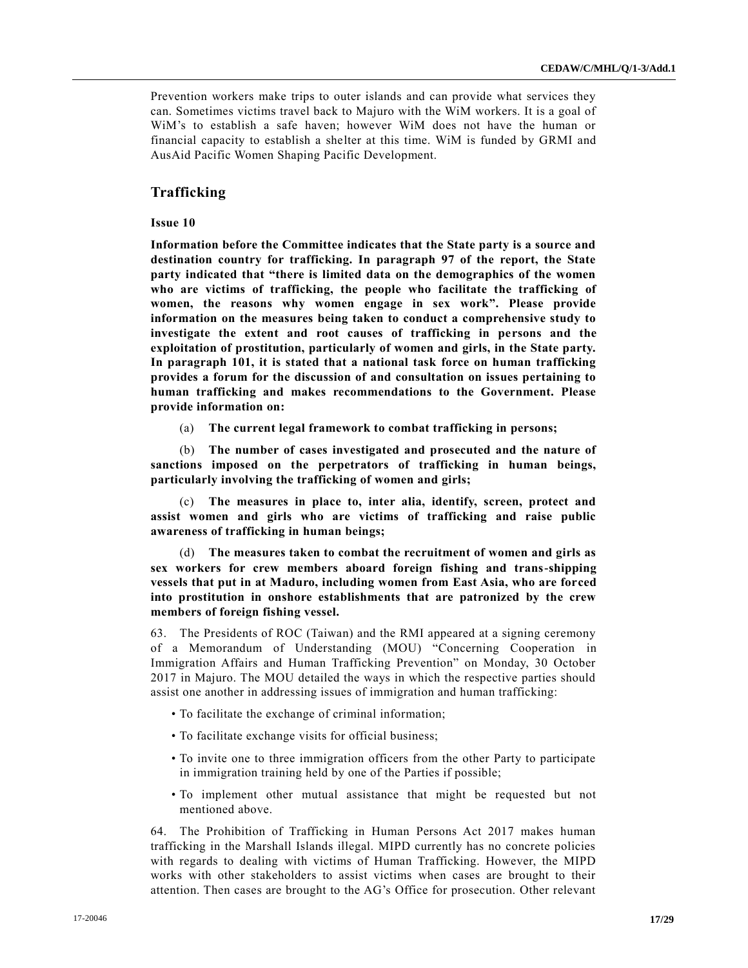Prevention workers make trips to outer islands and can provide what services they can. Sometimes victims travel back to Majuro with the WiM workers. It is a goal of WiM's to establish a safe haven; however WiM does not have the human or financial capacity to establish a shelter at this time. WiM is funded by GRMI and AusAid Pacific Women Shaping Pacific Development.

# **Trafficking**

#### **Issue 10**

**Information before the Committee indicates that the State party is a source and destination country for trafficking. In paragraph 97 of the report, the State party indicated that "there is limited data on the demographics of the women who are victims of trafficking, the people who facilitate the trafficking of women, the reasons why women engage in sex work". Please provide information on the measures being taken to conduct a comprehensive study to investigate the extent and root causes of trafficking in persons and the exploitation of prostitution, particularly of women and girls, in the State party. In paragraph 101, it is stated that a national task force on human trafficking provides a forum for the discussion of and consultation on issues pertaining to human trafficking and makes recommendations to the Government. Please provide information on:** 

(a) **The current legal framework to combat trafficking in persons;** 

(b) **The number of cases investigated and prosecuted and the nature of sanctions imposed on the perpetrators of trafficking in human beings, particularly involving the trafficking of women and girls;** 

(c) **The measures in place to, inter alia, identify, screen, protect and assist women and girls who are victims of trafficking and raise public awareness of trafficking in human beings;** 

(d) **The measures taken to combat the recruitment of women and girls as sex workers for crew members aboard foreign fishing and trans-shipping vessels that put in at Maduro, including women from East Asia, who are forced into prostitution in onshore establishments that are patronized by the crew members of foreign fishing vessel.** 

63. The Presidents of ROC (Taiwan) and the RMI appeared at a signing ceremony of a Memorandum of Understanding (MOU) "Concerning Cooperation in Immigration Affairs and Human Trafficking Prevention" on Monday, 30 October 2017 in Majuro. The MOU detailed the ways in which the respective parties should assist one another in addressing issues of immigration and human trafficking:

- To facilitate the exchange of criminal information;
- To facilitate exchange visits for official business;
- To invite one to three immigration officers from the other Party to participate in immigration training held by one of the Parties if possible;
- To implement other mutual assistance that might be requested but not mentioned above.

64. The Prohibition of Trafficking in Human Persons Act 2017 makes human trafficking in the Marshall Islands illegal. MIPD currently has no concrete policies with regards to dealing with victims of Human Trafficking. However, the MIPD works with other stakeholders to assist victims when cases are brought to their attention. Then cases are brought to the AG's Office for prosecution. Other relevant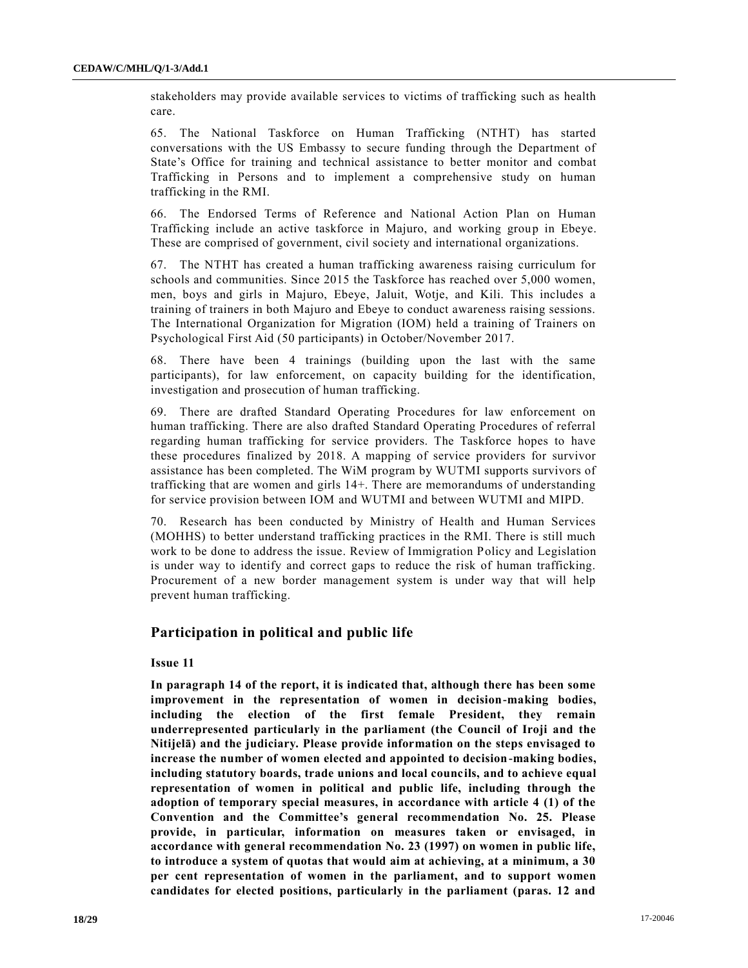stakeholders may provide available services to victims of trafficking such as health care.

65. The National Taskforce on Human Trafficking (NTHT) has started conversations with the US Embassy to secure funding through the Department of State's Office for training and technical assistance to better monitor and combat Trafficking in Persons and to implement a comprehensive study on human trafficking in the RMI.

66. The Endorsed Terms of Reference and National Action Plan on Human Trafficking include an active taskforce in Majuro, and working group in Ebeye. These are comprised of government, civil society and international organizations.

67. The NTHT has created a human trafficking awareness raising curriculum for schools and communities. Since 2015 the Taskforce has reached over 5,000 women, men, boys and girls in Majuro, Ebeye, Jaluit, Wotje, and Kili. This includes a training of trainers in both Majuro and Ebeye to conduct awareness raising sessions. The International Organization for Migration (IOM) held a training of Trainers on Psychological First Aid (50 participants) in October/November 2017.

68. There have been 4 trainings (building upon the last with the same participants), for law enforcement, on capacity building for the identification, investigation and prosecution of human trafficking.

69. There are drafted Standard Operating Procedures for law enforcement on human trafficking. There are also drafted Standard Operating Procedures of referral regarding human trafficking for service providers. The Taskforce hopes to have these procedures finalized by 2018. A mapping of service providers for survivor assistance has been completed. The WiM program by WUTMI supports survivors of trafficking that are women and girls 14+. There are memorandums of understanding for service provision between IOM and WUTMI and between WUTMI and MIPD.

70. Research has been conducted by Ministry of Health and Human Services (MOHHS) to better understand trafficking practices in the RMI. There is still much work to be done to address the issue. Review of Immigration Policy and Legislation is under way to identify and correct gaps to reduce the risk of human trafficking. Procurement of a new border management system is under way that will help prevent human trafficking.

# **Participation in political and public life**

#### **Issue 11**

**In paragraph 14 of the report, it is indicated that, although there has been some improvement in the representation of women in decision-making bodies, including the election of the first female President, they remain underrepresented particularly in the parliament (the Council of Iroji and the Nitijelā) and the judiciary. Please provide information on the steps envisaged to increase the number of women elected and appointed to decision-making bodies, including statutory boards, trade unions and local councils, and to achieve equal representation of women in political and public life, including through the adoption of temporary special measures, in accordance with article 4 (1) of the Convention and the Committee's general recommendation No. 25. Please provide, in particular, information on measures taken or envisaged, in accordance with general recommendation No. 23 (1997) on women in public life, to introduce a system of quotas that would aim at achieving, at a minimum, a 30 per cent representation of women in the parliament, and to support women candidates for elected positions, particularly in the parliament (paras. 12 and**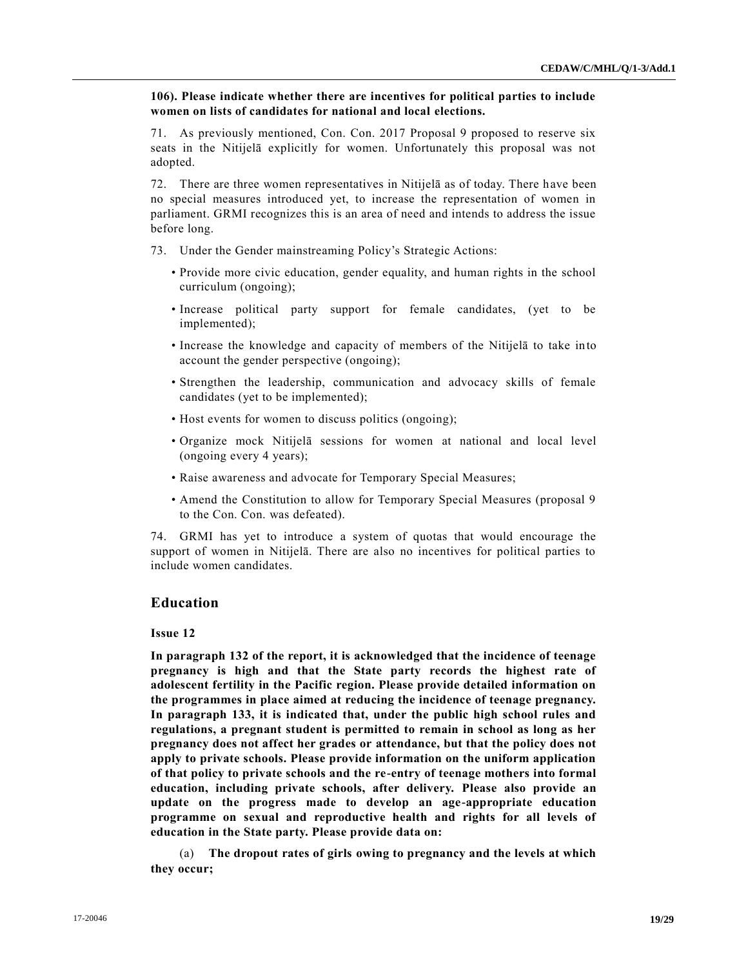**106). Please indicate whether there are incentives for political parties to include women on lists of candidates for national and local elections.** 

71. As previously mentioned, Con. Con. 2017 Proposal 9 proposed to reserve six seats in the Nitijelā explicitly for women. Unfortunately this proposal was not adopted.

72. There are three women representatives in Nitijelā as of today. There have been no special measures introduced yet, to increase the representation of women in parliament. GRMI recognizes this is an area of need and intends to address the issue before long.

- 73. Under the Gender mainstreaming Policy's Strategic Actions:
	- Provide more civic education, gender equality, and human rights in the school curriculum (ongoing);
	- Increase political party support for female candidates, (yet to be implemented);
	- Increase the knowledge and capacity of members of the Nitijelā to take into account the gender perspective (ongoing);
	- Strengthen the leadership, communication and advocacy skills of female candidates (yet to be implemented);
	- Host events for women to discuss politics (ongoing);
	- Organize mock Nitijelā sessions for women at national and local level (ongoing every 4 years);
	- Raise awareness and advocate for Temporary Special Measures;
	- Amend the Constitution to allow for Temporary Special Measures (proposal 9 to the Con. Con. was defeated).

74. GRMI has yet to introduce a system of quotas that would encourage the support of women in Nitijelā. There are also no incentives for political parties to include women candidates.

# **Education**

### **Issue 12**

**In paragraph 132 of the report, it is acknowledged that the incidence of teenage pregnancy is high and that the State party records the highest rate of adolescent fertility in the Pacific region. Please provide detailed information on the programmes in place aimed at reducing the incidence of teenage pregnancy. In paragraph 133, it is indicated that, under the public high school rules and regulations, a pregnant student is permitted to remain in school as long as her pregnancy does not affect her grades or attendance, but that the policy does not apply to private schools. Please provide information on the uniform application of that policy to private schools and the re-entry of teenage mothers into formal education, including private schools, after delivery. Please also provide an update on the progress made to develop an age-appropriate education programme on sexual and reproductive health and rights for all levels of education in the State party. Please provide data on:** 

(a) **The dropout rates of girls owing to pregnancy and the levels at which they occur;**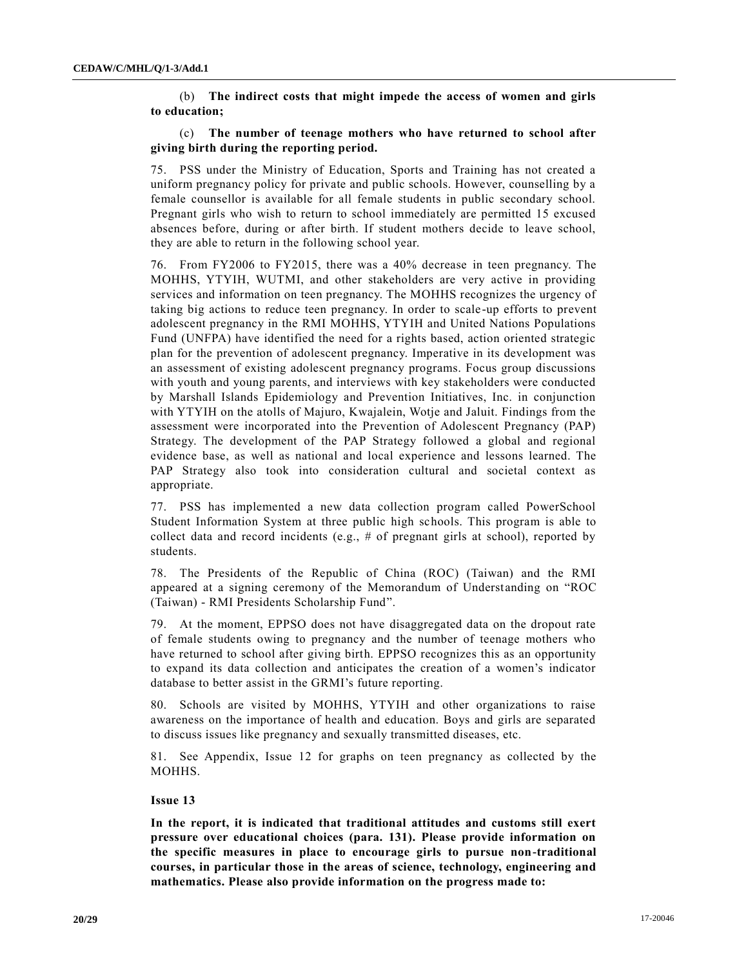(b) **The indirect costs that might impede the access of women and girls to education;** 

# (c) **The number of teenage mothers who have returned to school after giving birth during the reporting period.**

75. PSS under the Ministry of Education, Sports and Training has not created a uniform pregnancy policy for private and public schools. However, counselling by a female counsellor is available for all female students in public secondary school. Pregnant girls who wish to return to school immediately are permitted 15 excused absences before, during or after birth. If student mothers decide to leave school, they are able to return in the following school year.

76. From FY2006 to FY2015, there was a 40% decrease in teen pregnancy. The MOHHS, YTYIH, WUTMI, and other stakeholders are very active in providing services and information on teen pregnancy. The MOHHS recognizes the urgency of taking big actions to reduce teen pregnancy. In order to scale -up efforts to prevent adolescent pregnancy in the RMI MOHHS, YTYIH and United Nations Populations Fund (UNFPA) have identified the need for a rights based, action oriented strategic plan for the prevention of adolescent pregnancy. Imperative in its development was an assessment of existing adolescent pregnancy programs. Focus group discussions with youth and young parents, and interviews with key stakeholders were conducted by Marshall Islands Epidemiology and Prevention Initiatives, Inc. in conjunction with YTYIH on the atolls of Majuro, Kwajalein, Wotje and Jaluit. Findings from the assessment were incorporated into the Prevention of Adolescent Pregnancy (PAP) Strategy. The development of the PAP Strategy followed a global and regional evidence base, as well as national and local experience and lessons learned. The PAP Strategy also took into consideration cultural and societal context as appropriate.

77. PSS has implemented a new data collection program called PowerSchool Student Information System at three public high schools. This program is able to collect data and record incidents (e.g., # of pregnant girls at school), reported by students.

78. The Presidents of the Republic of China (ROC) (Taiwan) and the RMI appeared at a signing ceremony of the Memorandum of Understanding on "ROC (Taiwan) - RMI Presidents Scholarship Fund".

79. At the moment, EPPSO does not have disaggregated data on the dropout rate of female students owing to pregnancy and the number of teenage mothers who have returned to school after giving birth. EPPSO recognizes this as an opportunity to expand its data collection and anticipates the creation of a women's indicator database to better assist in the GRMI's future reporting.

80. Schools are visited by MOHHS, YTYIH and other organizations to raise awareness on the importance of health and education. Boys and girls are separated to discuss issues like pregnancy and sexually transmitted diseases, etc.

81. See Appendix, Issue 12 for graphs on teen pregnancy as collected by the MOHHS.

#### **Issue 13**

**In the report, it is indicated that traditional attitudes and customs still exert pressure over educational choices (para. 131). Please provide information on the specific measures in place to encourage girls to pursue non-traditional courses, in particular those in the areas of science, technology, engineering and mathematics. Please also provide information on the progress made to:**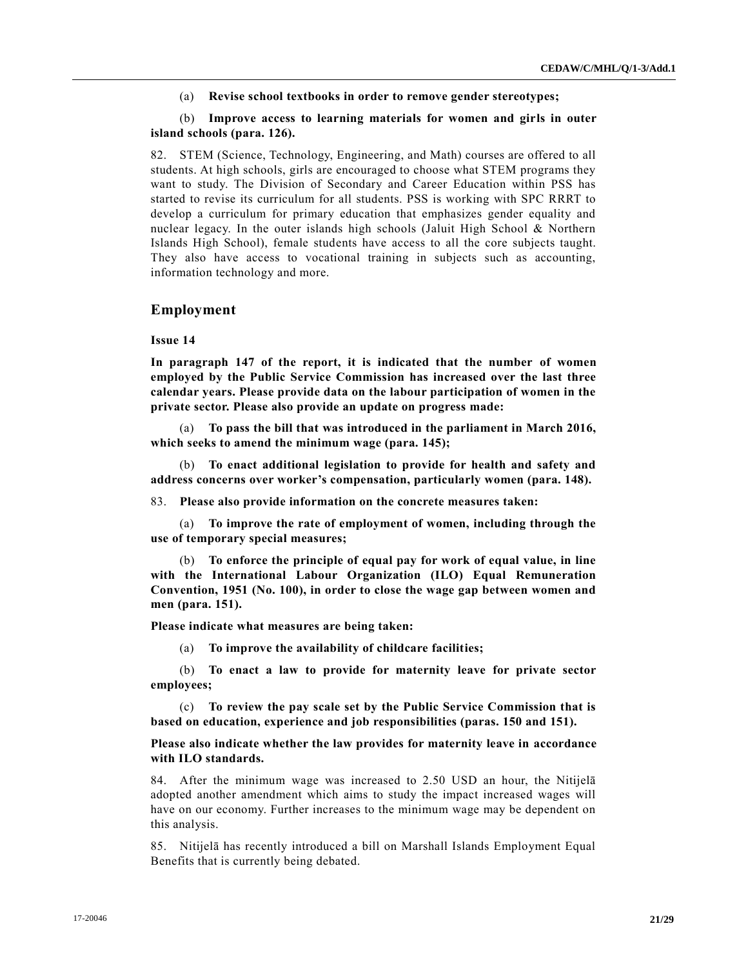(a) **Revise school textbooks in order to remove gender stereotypes;**

### (b) **Improve access to learning materials for women and girls in outer island schools (para. 126).**

82. STEM (Science, Technology, Engineering, and Math) courses are offered to all students. At high schools, girls are encouraged to choose what STEM programs they want to study. The Division of Secondary and Career Education within PSS has started to revise its curriculum for all students. PSS is working with SPC RRRT to develop a curriculum for primary education that emphasizes gender equality and nuclear legacy. In the outer islands high schools (Jaluit High School & Northern Islands High School), female students have access to all the core subjects taught. They also have access to vocational training in subjects such as accounting, information technology and more.

#### **Employment**

#### **Issue 14**

**In paragraph 147 of the report, it is indicated that the number of women employed by the Public Service Commission has increased over the last three calendar years. Please provide data on the labour participation of women in the private sector. Please also provide an update on progress made:** 

(a) **To pass the bill that was introduced in the parliament in March 2016, which seeks to amend the minimum wage (para. 145);**

(b) **To enact additional legislation to provide for health and safety and address concerns over worker's compensation, particularly women (para. 148).** 

83. **Please also provide information on the concrete measures taken:** 

(a) **To improve the rate of employment of women, including through the use of temporary special measures;** 

(b) **To enforce the principle of equal pay for work of equal value, in line with the International Labour Organization (ILO) Equal Remuneration Convention, 1951 (No. 100), in order to close the wage gap between women and men (para. 151).** 

**Please indicate what measures are being taken:** 

(a) **To improve the availability of childcare facilities;**

(b) **To enact a law to provide for maternity leave for private sector employees;**

(c) **To review the pay scale set by the Public Service Commission that is based on education, experience and job responsibilities (paras. 150 and 151).** 

#### **Please also indicate whether the law provides for maternity leave in accordance with ILO standards.**

84. After the minimum wage was increased to 2.50 USD an hour, the Nitijelā adopted another amendment which aims to study the impact increased wages will have on our economy. Further increases to the minimum wage may be dependent on this analysis.

85. Nitijelā has recently introduced a bill on Marshall Islands Employment Equal Benefits that is currently being debated.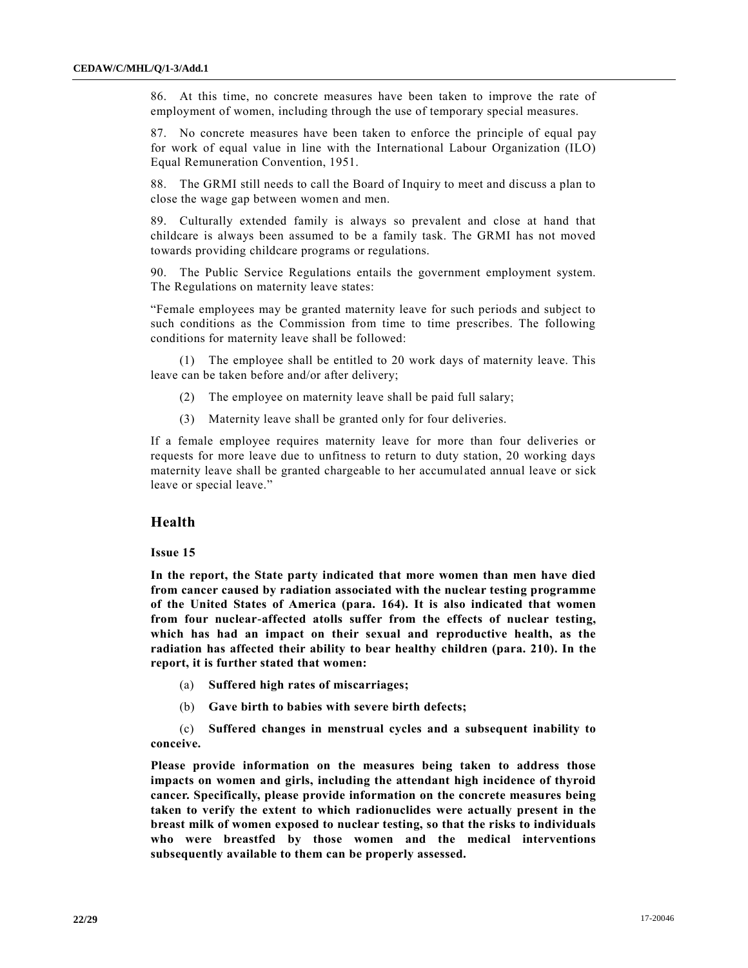86. At this time, no concrete measures have been taken to improve the rate of employment of women, including through the use of temporary special measures.

87. No concrete measures have been taken to enforce the principle of equal pay for work of equal value in line with the International Labour Organization (ILO) Equal Remuneration Convention, 1951.

88. The GRMI still needs to call the Board of Inquiry to meet and discuss a plan to close the wage gap between women and men.

89. Culturally extended family is always so prevalent and close at hand that childcare is always been assumed to be a family task. The GRMI has not moved towards providing childcare programs or regulations.

90. The Public Service Regulations entails the government employment system. The Regulations on maternity leave states:

"Female employees may be granted maternity leave for such periods and subject to such conditions as the Commission from time to time prescribes. The following conditions for maternity leave shall be followed:

(1) The employee shall be entitled to 20 work days of maternity leave. This leave can be taken before and/or after delivery;

- (2) The employee on maternity leave shall be paid full salary;
- (3) Maternity leave shall be granted only for four deliveries.

If a female employee requires maternity leave for more than four deliveries or requests for more leave due to unfitness to return to duty station, 20 working days maternity leave shall be granted chargeable to her accumulated annual leave or sick leave or special leave."

#### **Health**

#### **Issue 15**

**In the report, the State party indicated that more women than men have died from cancer caused by radiation associated with the nuclear testing programme of the United States of America (para. 164). It is also indicated that women from four nuclear-affected atolls suffer from the effects of nuclear testing, which has had an impact on their sexual and reproductive health, as the radiation has affected their ability to bear healthy children (para. 210). In the report, it is further stated that women:** 

- (a) **Suffered high rates of miscarriages;**
- (b) **Gave birth to babies with severe birth defects;**

(c) **Suffered changes in menstrual cycles and a subsequent inability to conceive.** 

**Please provide information on the measures being taken to address those impacts on women and girls, including the attendant high incidence of thyroid cancer. Specifically, please provide information on the concrete measures being taken to verify the extent to which radionuclides were actually present in the breast milk of women exposed to nuclear testing, so that the risks to individuals who were breastfed by those women and the medical interventions subsequently available to them can be properly assessed.**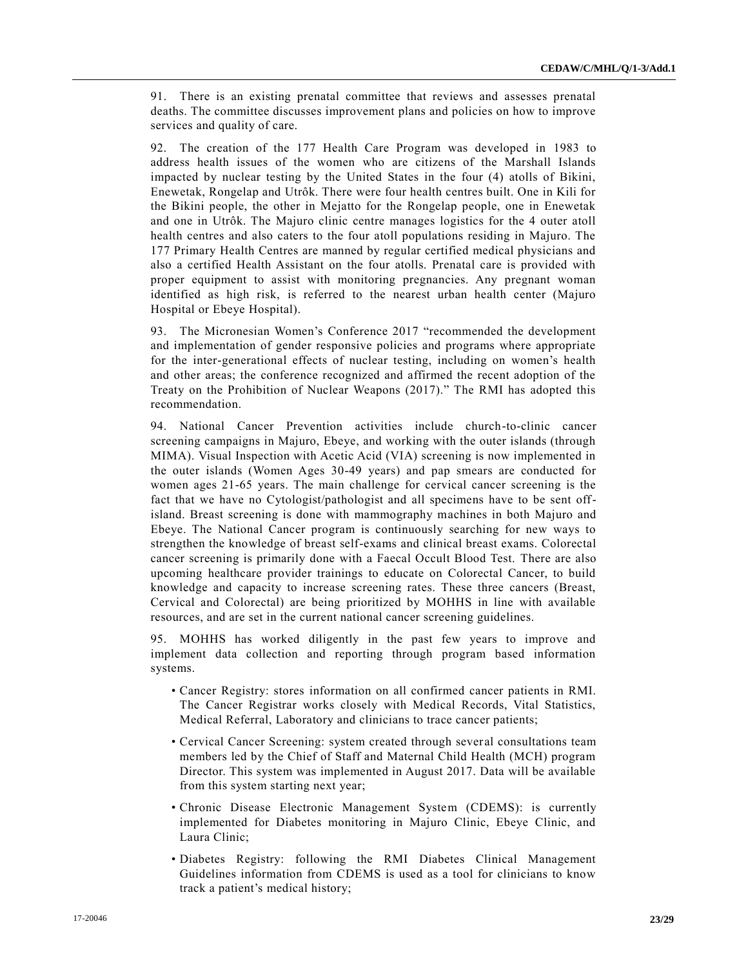91. There is an existing prenatal committee that reviews and assesses prenatal deaths. The committee discusses improvement plans and policies on how to improve services and quality of care.

92. The creation of the 177 Health Care Program was developed in 1983 to address health issues of the women who are citizens of the Marshall Islands impacted by nuclear testing by the United States in the four (4) atolls of Bikini, Enewetak, Rongelap and Utrôk. There were four health centres built. One in Kili for the Bikini people, the other in Mejatto for the Rongelap people, one in Enewetak and one in Utrôk. The Majuro clinic centre manages logistics for the 4 outer atoll health centres and also caters to the four atoll populations residing in Majuro. The 177 Primary Health Centres are manned by regular certified medical physicians and also a certified Health Assistant on the four atolls. Prenatal care is provided with proper equipment to assist with monitoring pregnancies. Any pregnant woman identified as high risk, is referred to the nearest urban health center (Majuro Hospital or Ebeye Hospital).

93. The Micronesian Women's Conference 2017 "recommended the development and implementation of gender responsive policies and programs where appropriate for the inter-generational effects of nuclear testing, including on women's health and other areas; the conference recognized and affirmed the recent adoption of the Treaty on the Prohibition of Nuclear Weapons (2017)." The RMI has adopted this recommendation.

94. National Cancer Prevention activities include church-to-clinic cancer screening campaigns in Majuro, Ebeye, and working with the outer islands (through MIMA). Visual Inspection with Acetic Acid (VIA) screening is now implemented in the outer islands (Women Ages 30-49 years) and pap smears are conducted for women ages 21-65 years. The main challenge for cervical cancer screening is the fact that we have no Cytologist/pathologist and all specimens have to be sent offisland. Breast screening is done with mammography machines in both Majuro and Ebeye. The National Cancer program is continuously searching for new ways to strengthen the knowledge of breast self-exams and clinical breast exams. Colorectal cancer screening is primarily done with a Faecal Occult Blood Test. There are also upcoming healthcare provider trainings to educate on Colorectal Cancer, to build knowledge and capacity to increase screening rates. These three cancers (Breast, Cervical and Colorectal) are being prioritized by MOHHS in line with available resources, and are set in the current national cancer screening guidelines.

95. MOHHS has worked diligently in the past few years to improve and implement data collection and reporting through program based information systems.

- Cancer Registry: stores information on all confirmed cancer patients in RMI. The Cancer Registrar works closely with Medical Records, Vital Statistics, Medical Referral, Laboratory and clinicians to trace cancer patients;
- Cervical Cancer Screening: system created through several consultations team members led by the Chief of Staff and Maternal Child Health (MCH) program Director. This system was implemented in August 2017. Data will be available from this system starting next year;
- Chronic Disease Electronic Management System (CDEMS): is currently implemented for Diabetes monitoring in Majuro Clinic, Ebeye Clinic, and Laura Clinic;
- Diabetes Registry: following the RMI Diabetes Clinical Management Guidelines information from CDEMS is used as a tool for clinicians to know track a patient's medical history;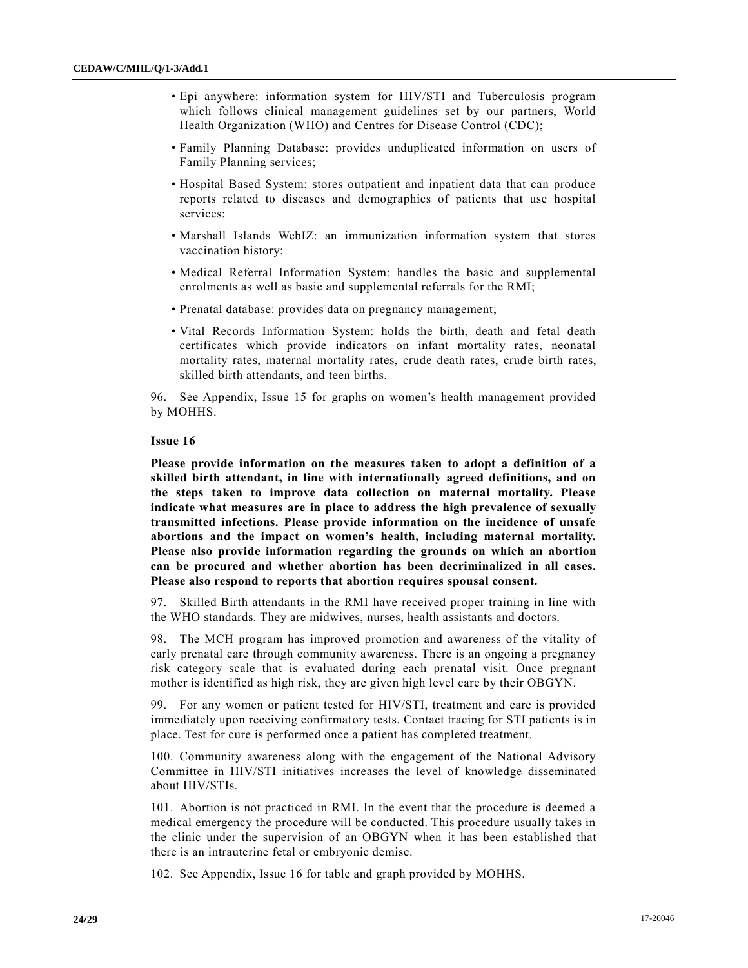- Epi anywhere: information system for HIV/STI and Tuberculosis program which follows clinical management guidelines set by our partners, World Health Organization (WHO) and Centres for Disease Control (CDC);
- Family Planning Database: provides unduplicated information on users of Family Planning services;
- Hospital Based System: stores outpatient and inpatient data that can produce reports related to diseases and demographics of patients that use hospital services;
- Marshall Islands WebIZ: an immunization information system that stores vaccination history;
- Medical Referral Information System: handles the basic and supplemental enrolments as well as basic and supplemental referrals for the RMI;
- Prenatal database: provides data on pregnancy management;
- Vital Records Information System: holds the birth, death and fetal death certificates which provide indicators on infant mortality rates, neonatal mortality rates, maternal mortality rates, crude death rates, crude birth rates, skilled birth attendants, and teen births.

96. See Appendix, Issue 15 for graphs on women's health management provided by MOHHS.

#### **Issue 16**

**Please provide information on the measures taken to adopt a definition of a skilled birth attendant, in line with internationally agreed definitions, and on the steps taken to improve data collection on maternal mortality. Please indicate what measures are in place to address the high prevalence of sexually transmitted infections. Please provide information on the incidence of unsafe abortions and the impact on women's health, including maternal mortality. Please also provide information regarding the grounds on which an abortion can be procured and whether abortion has been decriminalized in all cases. Please also respond to reports that abortion requires spousal consent.** 

97. Skilled Birth attendants in the RMI have received proper training in line with the WHO standards. They are midwives, nurses, health assistants and doctors.

98. The MCH program has improved promotion and awareness of the vitality of early prenatal care through community awareness. There is an ongoing a pregnancy risk category scale that is evaluated during each prenatal visit. Once pregnant mother is identified as high risk, they are given high level care by their OBGYN.

99. For any women or patient tested for HIV/STI, treatment and care is provided immediately upon receiving confirmatory tests. Contact tracing for STI patients is in place. Test for cure is performed once a patient has completed treatment.

100. Community awareness along with the engagement of the National Advisory Committee in HIV/STI initiatives increases the level of knowledge disseminated about HIV/STIs.

101. Abortion is not practiced in RMI. In the event that the procedure is deemed a medical emergency the procedure will be conducted. This procedure usually takes in the clinic under the supervision of an OBGYN when it has been established that there is an intrauterine fetal or embryonic demise.

102. See Appendix, Issue 16 for table and graph provided by MOHHS.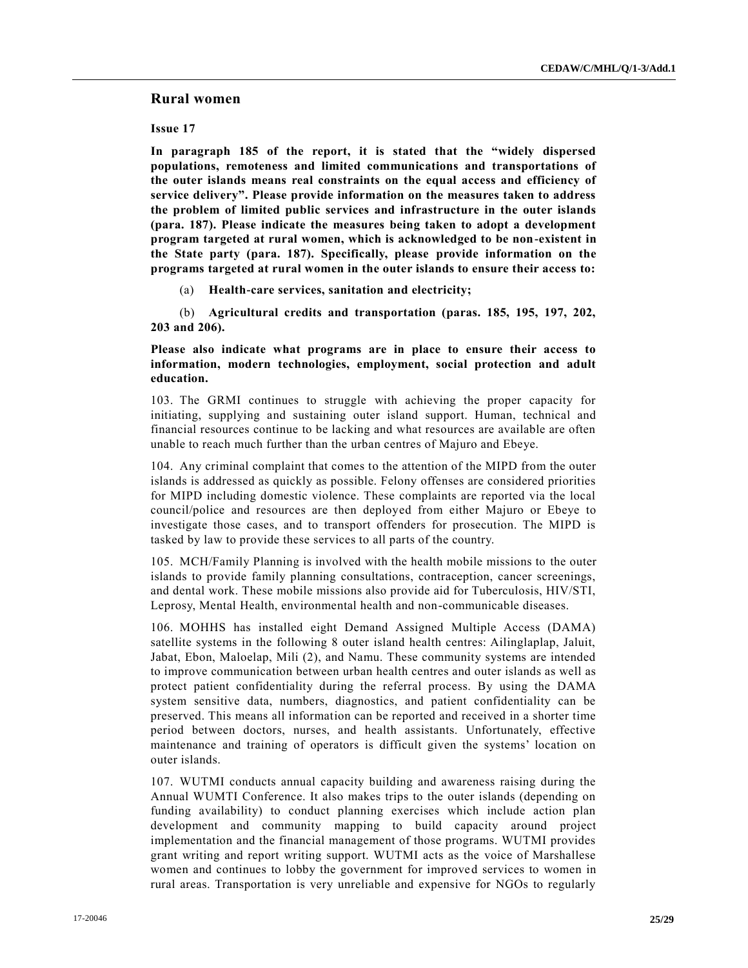# **Rural women**

**Issue 17** 

**In paragraph 185 of the report, it is stated that the "widely dispersed populations, remoteness and limited communications and transportations of the outer islands means real constraints on the equal access and efficiency of service delivery". Please provide information on the measures taken to address the problem of limited public services and infrastructure in the outer islands (para. 187). Please indicate the measures being taken to adopt a development program targeted at rural women, which is acknowledged to be non-existent in the State party (para. 187). Specifically, please provide information on the programs targeted at rural women in the outer islands to ensure their access to:** 

(a) **Health-care services, sanitation and electricity;** 

(b) **Agricultural credits and transportation (paras. 185, 195, 197, 202, 203 and 206).** 

**Please also indicate what programs are in place to ensure their access to information, modern technologies, employment, social protection and adult education.** 

103. The GRMI continues to struggle with achieving the proper capacity for initiating, supplying and sustaining outer island support. Human, technical and financial resources continue to be lacking and what resources are available are often unable to reach much further than the urban centres of Majuro and Ebeye.

104. Any criminal complaint that comes to the attention of the MIPD from the outer islands is addressed as quickly as possible. Felony offenses are considered priorities for MIPD including domestic violence. These complaints are reported via the local council/police and resources are then deployed from either Majuro or Ebeye to investigate those cases, and to transport offenders for prosecution. The MIPD is tasked by law to provide these services to all parts of the country.

105. MCH/Family Planning is involved with the health mobile missions to the outer islands to provide family planning consultations, contraception, cancer screenings, and dental work. These mobile missions also provide aid for Tuberculosis, HIV/STI, Leprosy, Mental Health, environmental health and non-communicable diseases.

106. MOHHS has installed eight Demand Assigned Multiple Access (DAMA) satellite systems in the following 8 outer island health centres: Ailinglaplap, Jaluit, Jabat, Ebon, Maloelap, Mili (2), and Namu. These community systems are intended to improve communication between urban health centres and outer islands as well as protect patient confidentiality during the referral process. By using the DAMA system sensitive data, numbers, diagnostics, and patient confidentiality can be preserved. This means all information can be reported and received in a shorter time period between doctors, nurses, and health assistants. Unfortunately, effective maintenance and training of operators is difficult given the systems' location on outer islands.

107. WUTMI conducts annual capacity building and awareness raising during the Annual WUMTI Conference. It also makes trips to the outer islands (depending on funding availability) to conduct planning exercises which include action plan development and community mapping to build capacity around project implementation and the financial management of those programs. WUTMI provides grant writing and report writing support. WUTMI acts as the voice of Marshallese women and continues to lobby the government for improved services to women in rural areas. Transportation is very unreliable and expensive for NGOs to regularly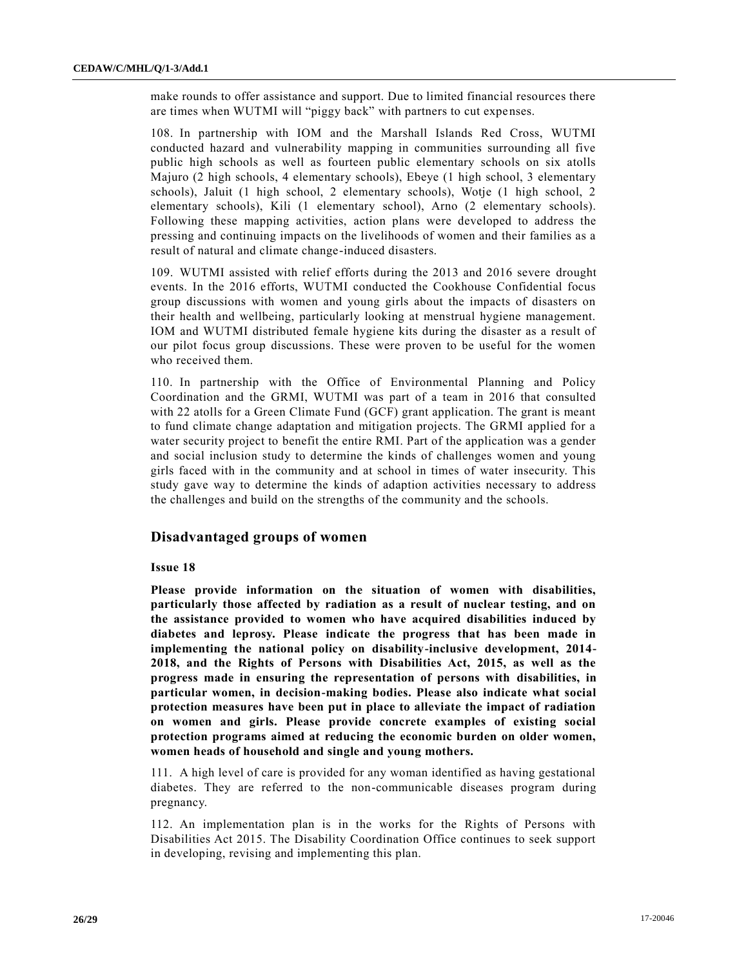make rounds to offer assistance and support. Due to limited financial resources there are times when WUTMI will "piggy back" with partners to cut expenses.

108. In partnership with IOM and the Marshall Islands Red Cross, WUTMI conducted hazard and vulnerability mapping in communities surrounding all five public high schools as well as fourteen public elementary schools on six atolls Majuro (2 high schools, 4 elementary schools), Ebeye (1 high school, 3 elementary schools), Jaluit (1 high school, 2 elementary schools), Wotje (1 high school, 2 elementary schools), Kili (1 elementary school), Arno (2 elementary schools). Following these mapping activities, action plans were developed to address the pressing and continuing impacts on the livelihoods of women and their families as a result of natural and climate change-induced disasters.

109. WUTMI assisted with relief efforts during the 2013 and 2016 severe drought events. In the 2016 efforts, WUTMI conducted the Cookhouse Confidential focus group discussions with women and young girls about the impacts of disasters on their health and wellbeing, particularly looking at menstrual hygiene management. IOM and WUTMI distributed female hygiene kits during the disaster as a result of our pilot focus group discussions. These were proven to be useful for the women who received them.

110. In partnership with the Office of Environmental Planning and Policy Coordination and the GRMI, WUTMI was part of a team in 2016 that consulted with 22 atolls for a Green Climate Fund (GCF) grant application. The grant is meant to fund climate change adaptation and mitigation projects. The GRMI applied for a water security project to benefit the entire RMI. Part of the application was a gender and social inclusion study to determine the kinds of challenges women and young girls faced with in the community and at school in times of water insecurity. This study gave way to determine the kinds of adaption activities necessary to address the challenges and build on the strengths of the community and the schools.

# **Disadvantaged groups of women**

#### **Issue 18**

**Please provide information on the situation of women with disabilities, particularly those affected by radiation as a result of nuclear testing, and on the assistance provided to women who have acquired disabilities induced by diabetes and leprosy. Please indicate the progress that has been made in implementing the national policy on disability-inclusive development, 2014- 2018, and the Rights of Persons with Disabilities Act, 2015, as well as the progress made in ensuring the representation of persons with disabilities, in particular women, in decision-making bodies. Please also indicate what social protection measures have been put in place to alleviate the impact of radiation on women and girls. Please provide concrete examples of existing social protection programs aimed at reducing the economic burden on older women, women heads of household and single and young mothers.** 

111. A high level of care is provided for any woman identified as having gestational diabetes. They are referred to the non-communicable diseases program during pregnancy.

112. An implementation plan is in the works for the Rights of Persons with Disabilities Act 2015. The Disability Coordination Office continues to seek support in developing, revising and implementing this plan.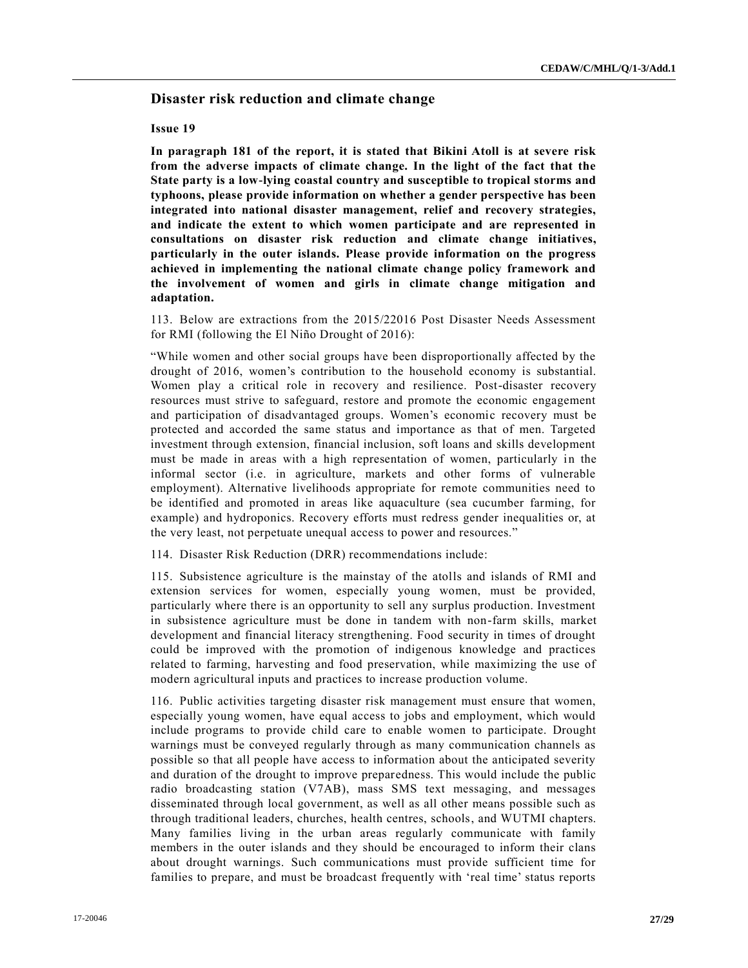# **Disaster risk reduction and climate change**

#### **Issue 19**

**In paragraph 181 of the report, it is stated that Bikini Atoll is at severe risk from the adverse impacts of climate change. In the light of the fact that the State party is a low-lying coastal country and susceptible to tropical storms and typhoons, please provide information on whether a gender perspective has been integrated into national disaster management, relief and recovery strategies, and indicate the extent to which women participate and are represented in consultations on disaster risk reduction and climate change initiatives, particularly in the outer islands. Please provide information on the progress achieved in implementing the national climate change policy framework and the involvement of women and girls in climate change mitigation and adaptation.** 

113. Below are extractions from the 2015/22016 Post Disaster Needs Assessment for RMI (following the El Niño Drought of 2016):

"While women and other social groups have been disproportionally affected by the drought of 2016, women's contribution to the household economy is substantial. Women play a critical role in recovery and resilience. Post-disaster recovery resources must strive to safeguard, restore and promote the economic engagement and participation of disadvantaged groups. Women's economic recovery must be protected and accorded the same status and importance as that of men. Targeted investment through extension, financial inclusion, soft loans and skills development must be made in areas with a high representation of women, particularly in the informal sector (i.e. in agriculture, markets and other forms of vulnerable employment). Alternative livelihoods appropriate for remote communities need to be identified and promoted in areas like aquaculture (sea cucumber farming, for example) and hydroponics. Recovery efforts must redress gender inequalities or, at the very least, not perpetuate unequal access to power and resources."

114. Disaster Risk Reduction (DRR) recommendations include:

115. Subsistence agriculture is the mainstay of the atolls and islands of RMI and extension services for women, especially young women, must be provided, particularly where there is an opportunity to sell any surplus production. Investment in subsistence agriculture must be done in tandem with non-farm skills, market development and financial literacy strengthening. Food security in times of drought could be improved with the promotion of indigenous knowledge and practices related to farming, harvesting and food preservation, while maximizing the use of modern agricultural inputs and practices to increase production volume.

116. Public activities targeting disaster risk management must ensure that women, especially young women, have equal access to jobs and employment, which would include programs to provide child care to enable women to participate. Drought warnings must be conveyed regularly through as many communication channels as possible so that all people have access to information about the anticipated severity and duration of the drought to improve preparedness. This would include the public radio broadcasting station (V7AB), mass SMS text messaging, and messages disseminated through local government, as well as all other means possible such as through traditional leaders, churches, health centres, schools, and WUTMI chapters. Many families living in the urban areas regularly communicate with family members in the outer islands and they should be encouraged to inform their clans about drought warnings. Such communications must provide sufficient time for families to prepare, and must be broadcast frequently with 'real time' status reports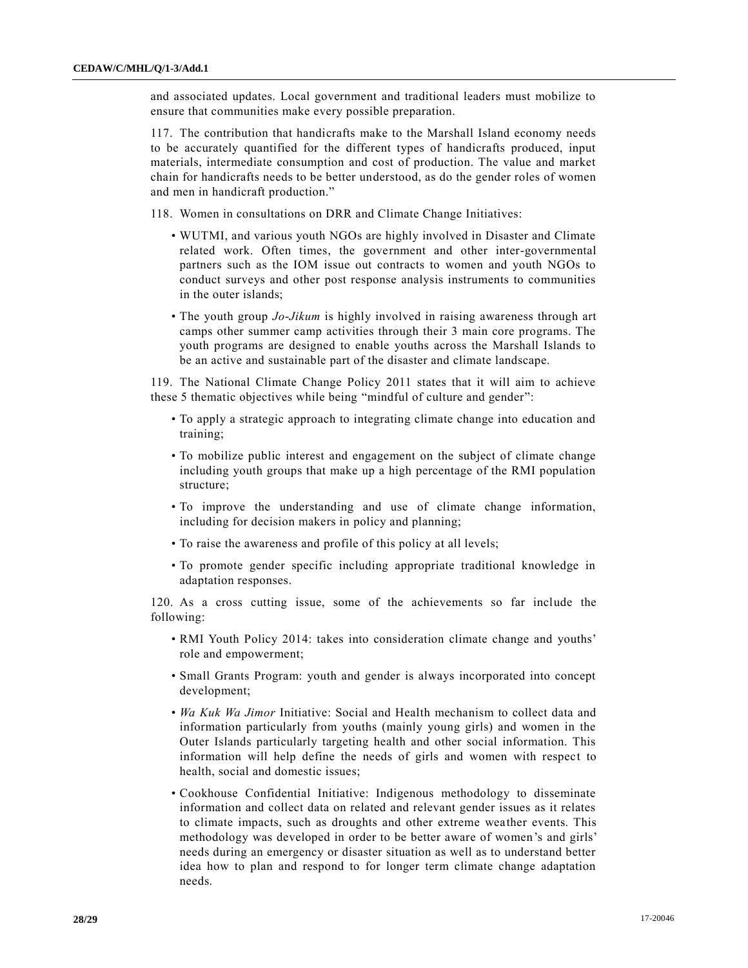and associated updates. Local government and traditional leaders must mobilize to ensure that communities make every possible preparation.

117. The contribution that handicrafts make to the Marshall Island economy needs to be accurately quantified for the different types of handicrafts produced, input materials, intermediate consumption and cost of production. The value and market chain for handicrafts needs to be better understood, as do the gender roles of women and men in handicraft production."

118. Women in consultations on DRR and Climate Change Initiatives:

- WUTMI, and various youth NGOs are highly involved in Disaster and Climate related work. Often times, the government and other inter-governmental partners such as the IOM issue out contracts to women and youth NGOs to conduct surveys and other post response analysis instruments to communities in the outer islands;
- The youth group *Jo-Jikum* is highly involved in raising awareness through art camps other summer camp activities through their 3 main core programs. The youth programs are designed to enable youths across the Marshall Islands to be an active and sustainable part of the disaster and climate landscape.

119. The National Climate Change Policy 2011 states that it will aim to achieve these 5 thematic objectives while being "mindful of culture and gender":

- To apply a strategic approach to integrating climate change into education and training;
- To mobilize public interest and engagement on the subject of climate change including youth groups that make up a high percentage of the RMI population structure;
- To improve the understanding and use of climate change information, including for decision makers in policy and planning;
- To raise the awareness and profile of this policy at all levels;
- To promote gender specific including appropriate traditional knowledge in adaptation responses.

120. As a cross cutting issue, some of the achievements so far include the following:

- RMI Youth Policy 2014: takes into consideration climate change and youths' role and empowerment;
- Small Grants Program: youth and gender is always incorporated into concept development;
- *Wa Kuk Wa Jimor* Initiative: Social and Health mechanism to collect data and information particularly from youths (mainly young girls) and women in the Outer Islands particularly targeting health and other social information. This information will help define the needs of girls and women with respect to health, social and domestic issues;
- Cookhouse Confidential Initiative: Indigenous methodology to disseminate information and collect data on related and relevant gender issues as it relates to climate impacts, such as droughts and other extreme weather events. This methodology was developed in order to be better aware of women's and girls' needs during an emergency or disaster situation as well as to understand better idea how to plan and respond to for longer term climate change adaptation needs.